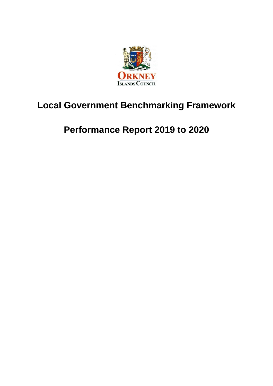

# **Local Government Benchmarking Framework**

# **Performance Report 2019 to 2020**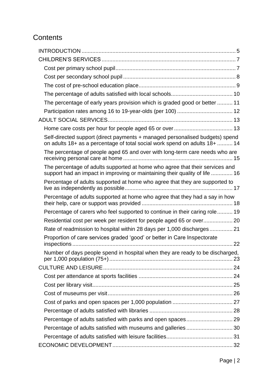## **Contents**

| The percentage of early years provision which is graded good or better  11                                                                                  |  |
|-------------------------------------------------------------------------------------------------------------------------------------------------------------|--|
|                                                                                                                                                             |  |
|                                                                                                                                                             |  |
|                                                                                                                                                             |  |
| Self-directed support (direct payments + managed personalised budgets) spend<br>on adults 18+ as a percentage of total social work spend on adults 18+  14  |  |
| The percentage of people aged 65 and over with long-term care needs who are                                                                                 |  |
| The percentage of adults supported at home who agree that their services and<br>support had an impact in improving or maintaining their quality of life  16 |  |
| Percentage of adults supported at home who agree that they are supported to                                                                                 |  |
| Percentage of adults supported at home who agree that they had a say in how                                                                                 |  |
| Percentage of carers who feel supported to continue in their caring role 19                                                                                 |  |
| Residential cost per week per resident for people aged 65 or over 20                                                                                        |  |
| Rate of readmission to hospital within 28 days per 1,000 discharges 21                                                                                      |  |
| Proportion of care services graded 'good' or better in Care Inspectorate                                                                                    |  |
| Number of days people spend in hospital when they are ready to be discharged,                                                                               |  |
|                                                                                                                                                             |  |
|                                                                                                                                                             |  |
|                                                                                                                                                             |  |
|                                                                                                                                                             |  |
|                                                                                                                                                             |  |
|                                                                                                                                                             |  |
| Percentage of adults satisfied with parks and open spaces 29                                                                                                |  |
|                                                                                                                                                             |  |
|                                                                                                                                                             |  |
|                                                                                                                                                             |  |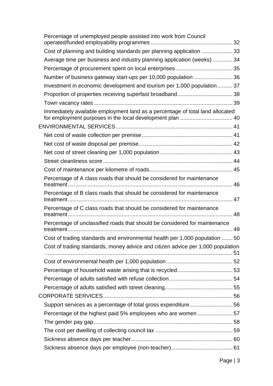| Percentage of unemployed people assisted into work from Council                                                                            |  |
|--------------------------------------------------------------------------------------------------------------------------------------------|--|
| Cost of planning and building standards per planning application  33                                                                       |  |
| Average time per business and industry planning application (weeks)  34                                                                    |  |
|                                                                                                                                            |  |
| Number of business gateway start-ups per 10,000 population  36                                                                             |  |
| Investment in economic development and tourism per 1,000 population 37                                                                     |  |
|                                                                                                                                            |  |
|                                                                                                                                            |  |
| Immediately available employment land as a percentage of total land allocated<br>for employment purposes in the local development plan  40 |  |
|                                                                                                                                            |  |
|                                                                                                                                            |  |
|                                                                                                                                            |  |
|                                                                                                                                            |  |
|                                                                                                                                            |  |
|                                                                                                                                            |  |
| Percentage of A class roads that should be considered for maintenance                                                                      |  |
| Percentage of B class roads that should be considered for maintenance                                                                      |  |
| Percentage of C class roads that should be considered for maintenance                                                                      |  |
| Percentage of unclassified roads that should be considered for maintenance                                                                 |  |
| Cost of trading standards and environmental health per 1,000 population  50                                                                |  |
| Cost of trading standards, money advice and citizen advice per 1,000 population                                                            |  |
|                                                                                                                                            |  |
|                                                                                                                                            |  |
|                                                                                                                                            |  |
|                                                                                                                                            |  |
|                                                                                                                                            |  |
| Support services as a percentage of total gross expenditure56                                                                              |  |
|                                                                                                                                            |  |
|                                                                                                                                            |  |
|                                                                                                                                            |  |
|                                                                                                                                            |  |
|                                                                                                                                            |  |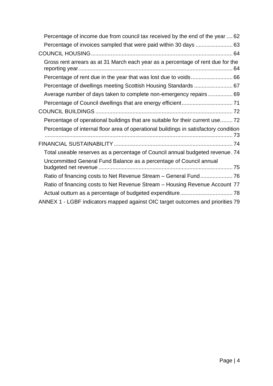| Percentage of income due from council tax received by the end of the year  62        |
|--------------------------------------------------------------------------------------|
|                                                                                      |
|                                                                                      |
| Gross rent arrears as at 31 March each year as a percentage of rent due for the      |
|                                                                                      |
| Percentage of dwellings meeting Scottish Housing Standards  67                       |
| Average number of days taken to complete non-emergency repairs 69                    |
|                                                                                      |
|                                                                                      |
| Percentage of operational buildings that are suitable for their current use 72       |
| Percentage of internal floor area of operational buildings in satisfactory condition |
|                                                                                      |
| Total useable reserves as a percentage of Council annual budgeted revenue. 74        |
| Uncommitted General Fund Balance as a percentage of Council annual                   |
|                                                                                      |
| Ratio of financing costs to Net Revenue Stream - Housing Revenue Account 77          |
|                                                                                      |
| ANNEX 1 - LGBF indicators mapped against OIC target outcomes and priorities 79       |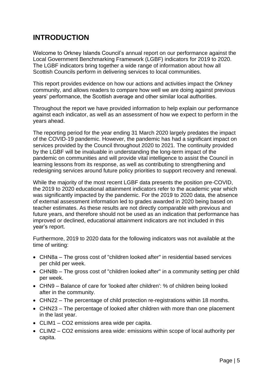## <span id="page-4-0"></span>**INTRODUCTION**

Welcome to Orkney Islands Council's annual report on our performance against the Local Government Benchmarking Framework (LGBF) indicators for 2019 to 2020. The LGBF indicators bring together a wide range of information about how all Scottish Councils perform in delivering services to local communities.

This report provides evidence on how our actions and activities impact the Orkney community, and allows readers to compare how well we are doing against previous years' performance, the Scottish average and other similar local authorities.

Throughout the report we have provided information to help explain our performance against each indicator, as well as an assessment of how we expect to perform in the years ahead.

The reporting period for the year ending 31 March 2020 largely predates the impact of the COVID-19 pandemic. However, the pandemic has had a significant impact on services provided by the Council throughout 2020 to 2021. The continuity provided by the LGBF will be invaluable in understanding the long-term impact of the pandemic on communities and will provide vital intelligence to assist the Council in learning lessons from its response, as well as contributing to strengthening and redesigning services around future policy priorities to support recovery and renewal.

While the majority of the most recent LGBF data presents the position pre-COVID, the 2019 to 2020 educational attainment indicators refer to the academic year which was significantly impacted by the pandemic. For the 2019 to 2020 data, the absence of external assessment information led to grades awarded in 2020 being based on teacher estimates. As these results are not directly comparable with previous and future years, and therefore should not be used as an indication that performance has improved or declined, educational attainment indicators are not included in this year's report.

Furthermore, 2019 to 2020 data for the following indicators was not available at the time of writing:

- CHN8a The gross cost of "children looked after" in residential based services per child per week.
- CHN8b The gross cost of "children looked after" in a community setting per child per week.
- CHN9 Balance of care for 'looked after children': % of children being looked after in the community.
- CHN22 The percentage of child protection re-registrations within 18 months.
- CHN23 The percentage of looked after children with more than one placement in the last year.
- CLIM1 CO2 emissions area wide per capita.
- CLIM2 CO2 emissions area wide: emissions within scope of local authority per capita.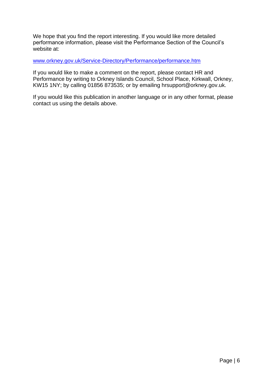We hope that you find the report interesting. If you would like more detailed performance information, please visit the Performance Section of the Council's website at:

#### [www.orkney.gov.uk/Service-Directory/Performance/performance.htm](http://www.orkney.gov.uk/Service-Directory/Performance/performance.htm)

If you would like to make a comment on the report, please contact HR and Performance by writing to Orkney Islands Council, School Place, Kirkwall, Orkney, KW15 1NY; by calling 01856 873535; or by emailing hrsupport@orkney.gov.uk.

If you would like this publication in another language or in any other format, please contact us using the details above.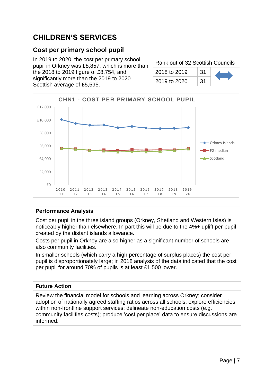## <span id="page-6-0"></span>**CHILDREN'S SERVICES**

### <span id="page-6-1"></span>**Cost per primary school pupil**

In 2019 to 2020, the cost per primary school pupil in Orkney was £8,857, which is more than the 2018 to 2019 figure of £8,754, and significantly more than the 2019 to 2020 Scottish average of £5,595.

| Rank out of 32 Scottish Councils |     |  |
|----------------------------------|-----|--|
| 2018 to 2019                     | .31 |  |
| 2019 to 2020                     | 31  |  |



#### **Performance Analysis**

Cost per pupil in the three island groups (Orkney, Shetland and Western Isles) is noticeably higher than elsewhere. In part this will be due to the 4%+ uplift per pupil created by the distant islands allowance.

Costs per pupil in Orkney are also higher as a significant number of schools are also community facilities.

In smaller schools (which carry a high percentage of surplus places) the cost per pupil is disproportionately large; in 2018 analysis of the data indicated that the cost per pupil for around 70% of pupils is at least £1,500 lower.

### **Future Action**

Review the financial model for schools and learning across Orkney; consider adoption of nationally agreed staffing ratios across all schools; explore efficiencies within non-frontline support services; delineate non-education costs (e.g. community facilities costs); produce 'cost per place' data to ensure discussions are informed.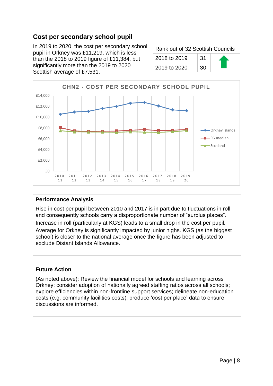### <span id="page-7-0"></span>**Cost per secondary school pupil**

In 2019 to 2020, the cost per secondary school pupil in Orkney was £11,219, which is less than the 2018 to 2019 figure of £11,384, but significantly more than the 2019 to 2020 Scottish average of £7,531.

| Rank out of 32 Scottish Councils |    |  |
|----------------------------------|----|--|
| 2018 to 2019                     | 31 |  |
| 2019 to 2020                     | 30 |  |



#### **Performance Analysis**

Rise in cost per pupil between 2010 and 2017 is in part due to fluctuations in roll and consequently schools carry a disproportionate number of "surplus places".

Increase in roll (particularly at KGS) leads to a small drop in the cost per pupil.

Average for Orkney is significantly impacted by junior highs. KGS (as the biggest school) is closer to the national average once the figure has been adjusted to exclude Distant Islands Allowance.

#### **Future Action**

(As noted above): Review the financial model for schools and learning across Orkney; consider adoption of nationally agreed staffing ratios across all schools; explore efficiencies within non-frontline support services; delineate non-education costs (e.g. community facilities costs); produce 'cost per place' data to ensure discussions are informed.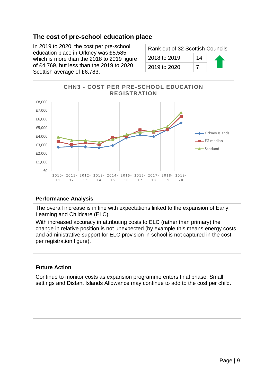### <span id="page-8-0"></span>**The cost of pre-school education place**

In 2019 to 2020, the cost per pre-school education place in Orkney was £5,585, which is more than the 2018 to 2019 figure of £4,769, but less than the 2019 to 2020 Scottish average of £6,783.

| Rank out of 32 Scottish Councils |    |  |
|----------------------------------|----|--|
| 2018 to 2019                     | 14 |  |
| 2019 to 2020                     |    |  |



#### **Performance Analysis**

The overall increase is in line with expectations linked to the expansion of Early Learning and Childcare (ELC).

With increased accuracy in attributing costs to ELC (rather than primary) the change in relative position is not unexpected (by example this means energy costs and administrative support for ELC provision in school is not captured in the cost per registration figure).

#### **Future Action**

Continue to monitor costs as expansion programme enters final phase. Small settings and Distant Islands Allowance may continue to add to the cost per child.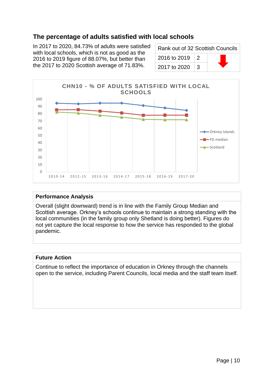### <span id="page-9-0"></span>**The percentage of adults satisfied with local schools**

In 2017 to 2020, 84.73% of adults were satisfied with local schools, which is not as good as the 2016 to 2019 figure of 88.07%, but better than the 2017 to 2020 Scottish average of 71.83%.

| Rank out of 32 Scottish Councils |   |  |
|----------------------------------|---|--|
| 2016 to 2019                     | 2 |  |
| 2017 to 2020                     | З |  |



#### **Performance Analysis**

Overall (slight downward) trend is in line with the Family Group Median and Scottish average. Orkney's schools continue to maintain a strong standing with the local communities (in the family group only Shetland is doing better). Figures do not yet capture the local response to how the service has responded to the global pandemic.

#### **Future Action**

Continue to reflect the importance of education in Orkney through the channels open to the service, including Parent Councils, local media and the staff team itself.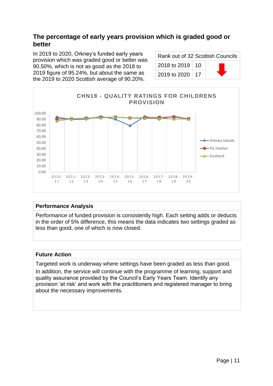### <span id="page-10-0"></span>**The percentage of early years provision which is graded good or better**

In 2019 to 2020, Orkney's funded early years provision which was graded good or better was 90.50%, which is not as good as the 2018 to 2019 figure of 95.24%, but about the same as the 2019 to 2020 Scottish average of 90.20%.

| Rank out of 32 Scottish Councils |  |  |
|----------------------------------|--|--|
| 2018 to 2019   10                |  |  |
| 2019 to 2020   17                |  |  |



#### **Performance Analysis**

Performance of funded provision is consistently high. Each setting adds or deducts in the order of 5% difference, this means the data indicates two settings graded as less than good, one of which is now closed.

#### **Future Action**

Targeted work is underway where settings have been graded as less than good. In addition, the service will continue with the programme of learning, support and quality assurance provided by the Council's Early Years Team. Identify any provision 'at risk' and work with the practitioners and registered manager to bring about the necessary improvements.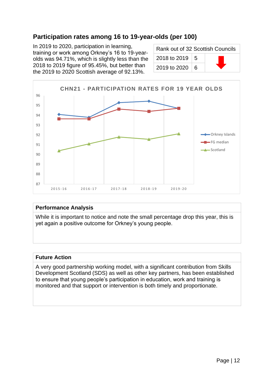### <span id="page-11-0"></span>**Participation rates among 16 to 19-year-olds (per 100)**

In 2019 to 2020, participation in learning, training or work among Orkney's 16 to 19-yearolds was 94.71%, which is slightly less than the 2018 to 2019 figure of 95.45%, but better than the 2019 to 2020 Scottish average of 92.13%.

| Rank out of 32 Scottish Councils |            |  |
|----------------------------------|------------|--|
| 2018 to 2019 $\vert$ 5           |            |  |
| 2019 to 2020                     | $\sqrt{6}$ |  |



#### **Performance Analysis**

While it is important to notice and note the small percentage drop this year, this is yet again a positive outcome for Orkney's young people.

#### **Future Action**

A very good partnership working model, with a significant contribution from Skills Development Scotland (SDS) as well as other key partners, has been established to ensure that young people's participation in education, work and training is monitored and that support or intervention is both timely and proportionate.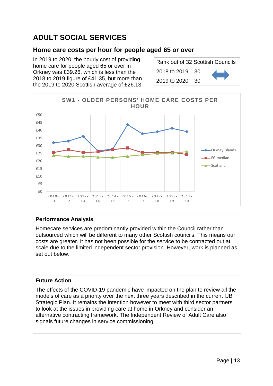## <span id="page-12-0"></span>**ADULT SOCIAL SERVICES**

### <span id="page-12-1"></span>**Home care costs per hour for people aged 65 or over**

In 2019 to 2020, the hourly cost of providing home care for people aged 65 or over in Orkney was £39.26, which is less than the 2018 to 2019 figure of £41.35, but more than the 2019 to 2020 Scottish average of £26.13.

| Rank out of 32 Scottish Councils |     |  |
|----------------------------------|-----|--|
| 2018 to 2019                     | 30. |  |
| 2019 to 2020                     | 30. |  |



#### **Performance Analysis**

Homecare services are predominantly provided within the Council rather than outsourced which will be different to many other Scottish councils. This means our costs are greater. It has not been possible for the service to be contracted out at scale due to the limited independent sector provision. However, work is planned as set out below.

#### **Future Action**

The effects of the COVID-19 pandemic have impacted on the plan to review all the models of care as a priority over the next three years described in the current IJB Strategic Plan. It remains the intention however to meet with third sector partners to look at the issues in providing care at home in Orkney and consider an alternative contracting framework. The Independent Review of Adult Care also signals future changes in service commissioning.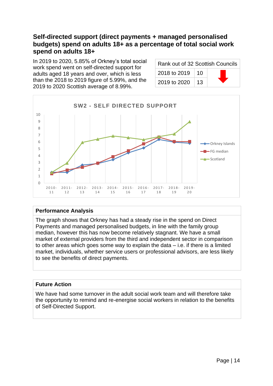### <span id="page-13-0"></span>**Self-directed support (direct payments + managed personalised budgets) spend on adults 18+ as a percentage of total social work spend on adults 18+**

In 2019 to 2020, 5.85% of Orkney's total social work spend went on self-directed support for adults aged 18 years and over, which is less than the 2018 to 2019 figure of 5.99%, and the 2019 to 2020 Scottish average of 8.99%.

| Rank out of 32 Scottish Councils |    |  |
|----------------------------------|----|--|
| 2018 to 2019                     | 10 |  |
| 2019 to 2020                     | 13 |  |



#### **Performance Analysis**

The graph shows that Orkney has had a steady rise in the spend on Direct Payments and managed personalised budgets, in line with the family group median, however this has now become relatively stagnant. We have a small market of external providers from the third and independent sector in comparison to other areas which goes some way to explain the data – i.e. if there is a limited market, individuals, whether service users or professional advisors, are less likely to see the benefits of direct payments.

#### **Future Action**

We have had some turnover in the adult social work team and will therefore take the opportunity to remind and re-energise social workers in relation to the benefits of Self-Directed Support.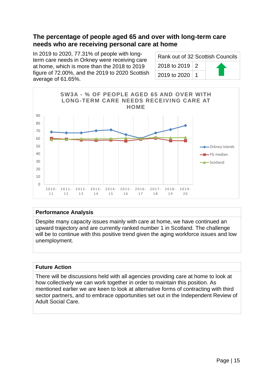### <span id="page-14-0"></span>**The percentage of people aged 65 and over with long-term care needs who are receiving personal care at home**

In 2019 to 2020, 77.31% of people with longterm care needs in Orkney were receiving care at home, which is more than the 2018 to 2019 figure of 72.00%, and the 2019 to 2020 Scottish average of 61.65%.

| Rank out of 32 Scottish Councils |  |
|----------------------------------|--|
| 2018 to 2019   2                 |  |
| 2019 to 2020   1                 |  |



#### **Performance Analysis**

Despite many capacity issues mainly with care at home, we have continued an upward trajectory and are currently ranked number 1 in Scotland. The challenge will be to continue with this positive trend given the aging workforce issues and low unemployment.

#### **Future Action**

There will be discussions held with all agencies providing care at home to look at how collectively we can work together in order to maintain this position. As mentioned earlier we are keen to look at alternative forms of contracting with third sector partners, and to embrace opportunities set out in the Independent Review of Adult Social Care.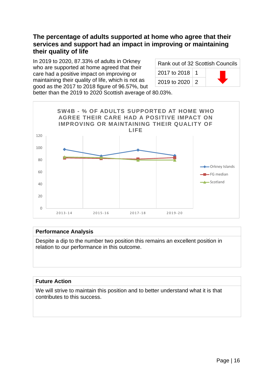### <span id="page-15-0"></span>**The percentage of adults supported at home who agree that their services and support had an impact in improving or maintaining their quality of life**

In 2019 to 2020, 87.33% of adults in Orkney who are supported at home agreed that their care had a positive impact on improving or maintaining their quality of life, which is not as good as the 2017 to 2018 figure of 96.57%, but

| Rank out of 32 Scottish Councils |  |  |
|----------------------------------|--|--|
| 2017 to 2018   1                 |  |  |
| 2019 to 2020   2                 |  |  |

better than the 2019 to 2020 Scottish average of 80.03%.



#### **Performance Analysis**

Despite a dip to the number two position this remains an excellent position in relation to our performance in this outcome.

#### **Future Action**

We will strive to maintain this position and to better understand what it is that contributes to this success.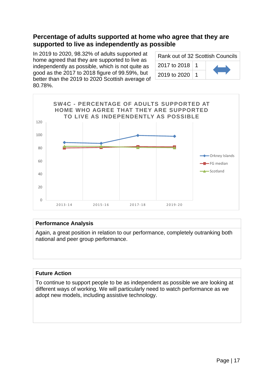### <span id="page-16-0"></span>**Percentage of adults supported at home who agree that they are supported to live as independently as possible**

In 2019 to 2020, 98.32% of adults supported at home agreed that they are supported to live as independently as possible, which is not quite as good as the 2017 to 2018 figure of 99.59%, but better than the 2019 to 2020 Scottish average of 80.78%.

| Rank out of 32 Scottish Councils |  |  |
|----------------------------------|--|--|
| 2017 to 2018   1                 |  |  |
| 2019 to 2020                     |  |  |



#### **Performance Analysis**

Again, a great position in relation to our performance, completely outranking both national and peer group performance.

#### **Future Action**

To continue to support people to be as independent as possible we are looking at different ways of working. We will particularly need to watch performance as we adopt new models, including assistive technology.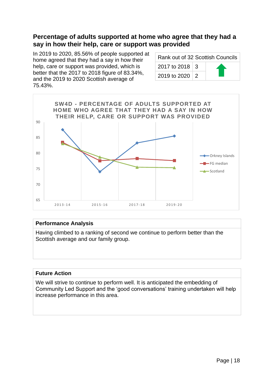### <span id="page-17-0"></span>**Percentage of adults supported at home who agree that they had a say in how their help, care or support was provided**

In 2019 to 2020, 85.56% of people supported at home agreed that they had a say in how their help, care or support was provided, which is better that the 2017 to 2018 figure of 83.34%, and the 2019 to 2020 Scottish average of 75.43%.

| Rank out of 32 Scottish Councils |  |  |
|----------------------------------|--|--|
| 2017 to 2018   3                 |  |  |
| 2019 to 2020 2                   |  |  |



#### **Performance Analysis**

Having climbed to a ranking of second we continue to perform better than the Scottish average and our family group.

#### **Future Action**

We will strive to continue to perform well. It is anticipated the embedding of Community Led Support and the 'good conversations' training undertaken will help increase performance in this area.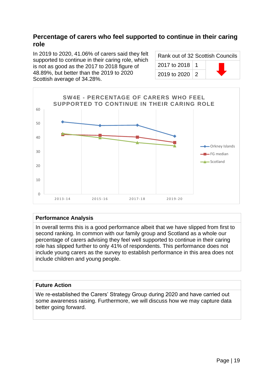### <span id="page-18-0"></span>**Percentage of carers who feel supported to continue in their caring role**

In 2019 to 2020, 41.06% of carers said they felt supported to continue in their caring role, which is not as good as the 2017 to 2018 figure of 48.89%, but better than the 2019 to 2020 Scottish average of 34.28%.

| Rank out of 32 Scottish Councils |  |  |
|----------------------------------|--|--|
| 2017 to 2018   1                 |  |  |
| 2019 to 2020   2                 |  |  |



#### **Performance Analysis**

In overall terms this is a good performance albeit that we have slipped from first to second ranking. In common with our family group and Scotland as a whole our percentage of carers advising they feel well supported to continue in their caring role has slipped further to only 41% of respondents. This performance does not include young carers as the survey to establish performance in this area does not include children and young people.

#### **Future Action**

We re-established the Carers' Strategy Group during 2020 and have carried out some awareness raising. Furthermore, we will discuss how we may capture data better going forward.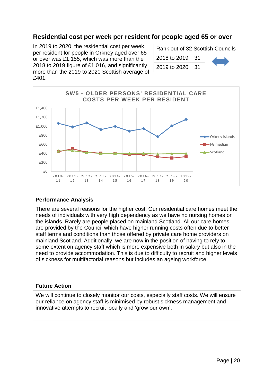### <span id="page-19-0"></span>**Residential cost per week per resident for people aged 65 or over**

In 2019 to 2020, the residential cost per week per resident for people in Orkney aged over 65 or over was £1,155, which was more than the 2018 to 2019 figure of £1,016, and significantly more than the 2019 to 2020 Scottish average of £401.

| Rank out of 32 Scottish Councils |  |  |
|----------------------------------|--|--|
| $   -$<br>$\cdots$               |  |  |





#### **Performance Analysis**

There are several reasons for the higher cost. Our residential care homes meet the needs of individuals with very high dependency as we have no nursing homes on the islands. Rarely are people placed on mainland Scotland. All our care homes are provided by the Council which have higher running costs often due to better staff terms and conditions than those offered by private care home providers on mainland Scotland. Additionally, we are now in the position of having to rely to some extent on agency staff which is more expensive both in salary but also in the need to provide accommodation. This is due to difficulty to recruit and higher levels of sickness for multifactorial reasons but includes an ageing workforce.

#### **Future Action**

We will continue to closely monitor our costs, especially staff costs. We will ensure our reliance on agency staff is minimised by robust sickness management and innovative attempts to recruit locally and 'grow our own'.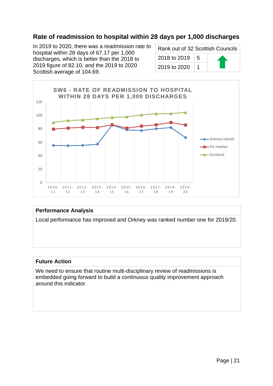### <span id="page-20-0"></span>**Rate of readmission to hospital within 28 days per 1,000 discharges**

In 2019 to 2020, there was a readmission rate to hospital within 28 days of 67.17 per 1,000 discharges, which is better than the 2018 to 2019 figure of 82.10, and the 2019 to 2020 Scottish average of 104.69.

| Rank out of 32 Scottish Councils |  |  |
|----------------------------------|--|--|
| 2018 to 2019 $\vert$ 5           |  |  |
| 2019 to 2020                     |  |  |



#### **Performance Analysis**

Local performance has improved and Orkney was ranked number one for 2019/20.

#### **Future Action**

We need to ensure that routine multi-disciplinary review of readmissions is embedded going forward to build a continuous quality improvement approach around this indicator.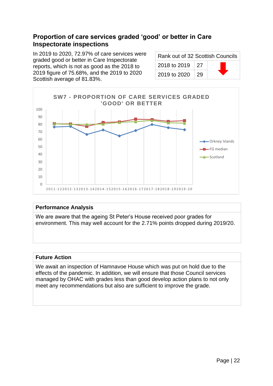### <span id="page-21-0"></span>**Proportion of care services graded 'good' or better in Care Inspectorate inspections**

In 2019 to 2020, 72.97% of care services were graded good or better in Care Inspectorate reports, which is not as good as the 2018 to 2019 figure of 75.68%, and the 2019 to 2020 Scottish average of 81.83%.

| Rank out of 32 Scottish Councils |      |  |
|----------------------------------|------|--|
| 2018 to 2019 27                  |      |  |
| 2019 to 2020                     | ∣ 29 |  |



#### **Performance Analysis**

We are aware that the ageing St Peter's House received poor grades for environment. This may well account for the 2.71% points dropped during 2019/20.

#### **Future Action**

We await an inspection of Hamnavoe House which was put on hold due to the effects of the pandemic. In addition, we will ensure that those Council services managed by OHAC with grades less than good develop action plans to not only meet any recommendations but also are sufficient to improve the grade.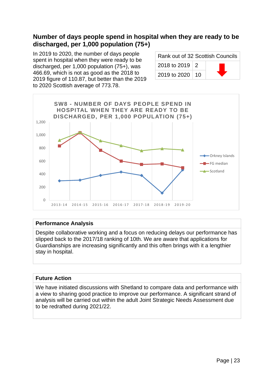### <span id="page-22-0"></span>**Number of days people spend in hospital when they are ready to be discharged, per 1,000 population (75+)**

In 2019 to 2020, the number of days people spent in hospital when they were ready to be discharged, per 1,000 population (75+), was 466.69, which is not as good as the 2018 to 2019 figure of 110.87, but better than the 2019 to 2020 Scottish average of 773.78.

| Rank out of 32 Scottish Councils |  |  |
|----------------------------------|--|--|
| 2018 to 2019   2                 |  |  |
| 2019 to 2020   10                |  |  |



#### **Performance Analysis**

Despite collaborative working and a focus on reducing delays our performance has slipped back to the 2017/18 ranking of 10th. We are aware that applications for Guardianships are increasing significantly and this often brings with it a lengthier stay in hospital.

#### **Future Action**

We have initiated discussions with Shetland to compare data and performance with a view to sharing good practice to improve our performance. A significant strand of analysis will be carried out within the adult Joint Strategic Needs Assessment due to be redrafted during 2021/22.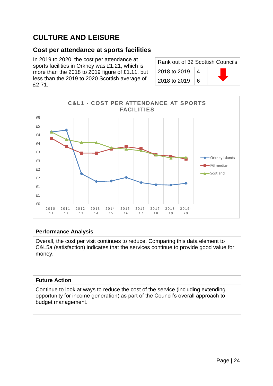## <span id="page-23-0"></span>**CULTURE AND LEISURE**

### <span id="page-23-1"></span>**Cost per attendance at sports facilities**

In 2019 to 2020, the cost per attendance at sports facilities in Orkney was £1.21, which is more than the 2018 to 2019 figure of £1.11, but less than the 2019 to 2020 Scottish average of £2.71.

| Rank out of 32 Scottish Councils |   |  |
|----------------------------------|---|--|
| 2018 to 2019                     | 4 |  |
| 2018 to 2019                     | 6 |  |



#### **Performance Analysis**

Overall, the cost per visit continues to reduce. Comparing this data element to C&L5a (satisfaction) indicates that the services continue to provide good value for money.

#### **Future Action**

Continue to look at ways to reduce the cost of the service (including extending opportunity for income generation) as part of the Council's overall approach to budget management.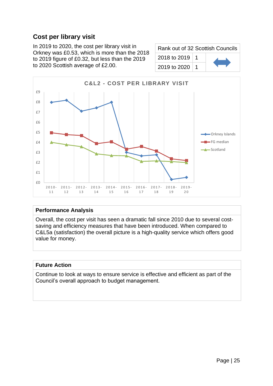### <span id="page-24-0"></span>**Cost per library visit**

In 2019 to 2020, the cost per library visit in Orkney was £0.53, which is more than the 2018 to 2019 figure of £0.32, but less than the 2019 to 2020 Scottish average of £2.00.

| Rank out of 32 Scottish Councils |  |  |
|----------------------------------|--|--|
| 2018 to 2019   1                 |  |  |
| 2019 to 2020                     |  |  |



#### **Performance Analysis**

Overall, the cost per visit has seen a dramatic fall since 2010 due to several costsaving and efficiency measures that have been introduced. When compared to C&L5a (satisfaction) the overall picture is a high-quality service which offers good value for money.

#### **Future Action**

Continue to look at ways to ensure service is effective and efficient as part of the Council's overall approach to budget management.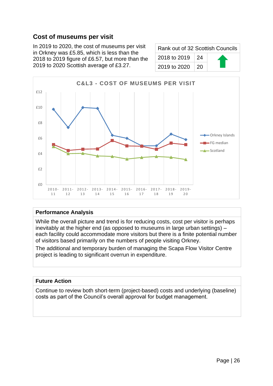### <span id="page-25-0"></span>**Cost of museums per visit**

In 2019 to 2020, the cost of museums per visit in Orkney was £5.85, which is less than the 2018 to 2019 figure of £6.57, but more than the 2019 to 2020 Scottish average of £3.27.

| Rank out of 32 Scottish Councils |      |  |
|----------------------------------|------|--|
| 2018 to 2019 24                  |      |  |
| 2019 to 2020                     | ∣ 20 |  |



#### **Performance Analysis**

While the overall picture and trend is for reducing costs, cost per visitor is perhaps inevitably at the higher end (as opposed to museums in large urban settings) – each facility could accommodate more visitors but there is a finite potential number of visitors based primarily on the numbers of people visiting Orkney.

The additional and temporary burden of managing the Scapa Flow Visitor Centre project is leading to significant overrun in expenditure.

#### **Future Action**

Continue to review both short-term (project-based) costs and underlying (baseline) costs as part of the Council's overall approval for budget management.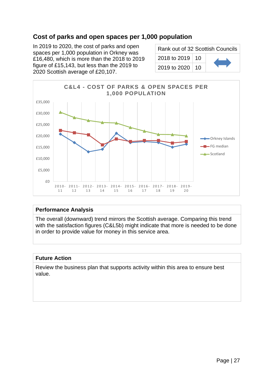### <span id="page-26-0"></span>**Cost of parks and open spaces per 1,000 population**

In 2019 to 2020, the cost of parks and open spaces per 1,000 population in Orkney was £16,480, which is more than the 2018 to 2019 figure of £15,143, but less than the 2019 to 2020 Scottish average of £20,107.

| Rank out of 32 Scottish Councils |  |  |
|----------------------------------|--|--|
| 2018 to 2019   10                |  |  |
| 2019 to 2020   10                |  |  |



#### **Performance Analysis**

The overall (downward) trend mirrors the Scottish average. Comparing this trend with the satisfaction figures (C&L5b) might indicate that more is needed to be done in order to provide value for money in this service area.

#### **Future Action**

Review the business plan that supports activity within this area to ensure best value.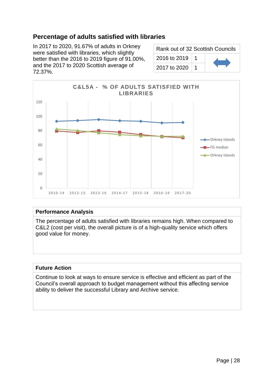### <span id="page-27-0"></span>**Percentage of adults satisfied with libraries**

In 2017 to 2020, 91.67% of adults in Orkney were satisfied with libraries, which slightly better than the 2016 to 2019 figure of 91.00%, and the 2017 to 2020 Scottish average of 72.37%.

| Rank out of 32 Scottish Councils |  |  |
|----------------------------------|--|--|
| 2016 to 2019                     |  |  |
| 2017 to 2020                     |  |  |



#### **Performance Analysis**

The percentage of adults satisfied with libraries remains high. When compared to C&L2 (cost per visit), the overall picture is of a high-quality service which offers good value for money.

#### **Future Action**

Continue to look at ways to ensure service is effective and efficient as part of the Council's overall approach to budget management without this affecting service ability to deliver the successful Library and Archive service.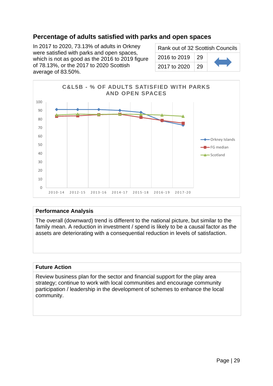### <span id="page-28-0"></span>**Percentage of adults satisfied with parks and open spaces**

In 2017 to 2020, 73.13% of adults in Orkney were satisfied with parks and open spaces, which is not as good as the 2016 to 2019 figure of 78.13%, or the 2017 to 2020 Scottish average of 83.50%.

| Rank out of 32 Scottish Councils |    |  |
|----------------------------------|----|--|
| 2016 to 2019                     | 29 |  |
| 2017 to 2020                     | 29 |  |



#### **Performance Analysis**

The overall (downward) trend is different to the national picture, but similar to the family mean. A reduction in investment / spend is likely to be a causal factor as the assets are deteriorating with a consequential reduction in levels of satisfaction.

#### **Future Action**

Review business plan for the sector and financial support for the play area strategy; continue to work with local communities and encourage community participation / leadership in the development of schemes to enhance the local community.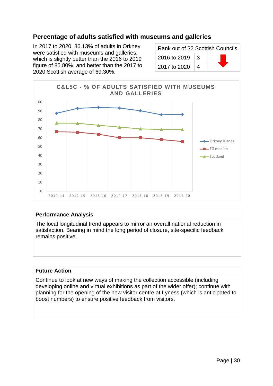### <span id="page-29-0"></span>**Percentage of adults satisfied with museums and galleries**

In 2017 to 2020, 86.13% of adults in Orkney were satisfied with museums and galleries, which is slightly better than the 2016 to 2019 figure of 85.80%, and better than the 2017 to 2020 Scottish average of 69.30%.

| Rank out of 32 Scottish Councils |   |  |
|----------------------------------|---|--|
| 2016 to 2019                     | 3 |  |
| 2017 to 2020                     | 4 |  |



#### **Performance Analysis**

The local longitudinal trend appears to mirror an overall national reduction in satisfaction. Bearing in mind the long period of closure, site-specific feedback, remains positive.

#### **Future Action**

Continue to look at new ways of making the collection accessible (including developing online and virtual exhibitions as part of the wider offer); continue with planning for the opening of the new visitor centre at Lyness (which is anticipated to boost numbers) to ensure positive feedback from visitors.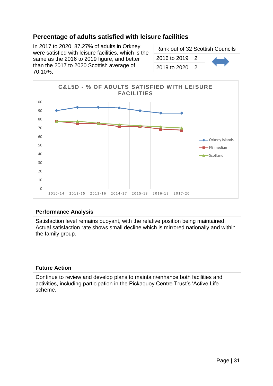### <span id="page-30-0"></span>**Percentage of adults satisfied with leisure facilities**

In 2017 to 2020, 87.27% of adults in Orkney were satisfied with leisure facilities, which is the same as the 2016 to 2019 figure, and better than the 2017 to 2020 Scottish average of 70.10%.

| Rank out of 32 Scottish Councils |               |  |  |
|----------------------------------|---------------|--|--|
| 2016 to 2019   2                 |               |  |  |
| 2019 to 2020                     | $\mathcal{P}$ |  |  |



#### **Performance Analysis**

Satisfaction level remains buoyant, with the relative position being maintained. Actual satisfaction rate shows small decline which is mirrored nationally and within the family group.

#### **Future Action**

Continue to review and develop plans to maintain/enhance both facilities and activities, including participation in the Pickaquoy Centre Trust's 'Active Life scheme.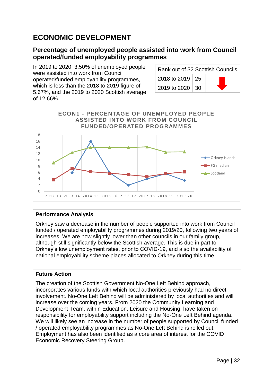## <span id="page-31-0"></span>**ECONOMIC DEVELOPMENT**

### <span id="page-31-1"></span>**Percentage of unemployed people assisted into work from Council operated/funded employability programmes**

In 2019 to 2020, 3.50% of unemployed people were assisted into work from Council operated/funded employability programmes, which is less than the 2018 to 2019 figure of 5.67%, and the 2019 to 2020 Scottish average of 12.66%.

| Rank out of 32 Scottish Councils |  |  |
|----------------------------------|--|--|
| 2018 to 2019   25                |  |  |
| 2019 to 2020   30                |  |  |



#### **Performance Analysis**

Orkney saw a decrease in the number of people supported into work from Council funded / operated employability programmes during 2019/20, following two years of increases. We are now slightly lower than other councils in our family group, although still significantly below the Scottish average. This is due in part to Orkney's low unemployment rates, prior to COVID-19, and also the availability of national employability scheme places allocated to Orkney during this time.

#### **Future Action**

The creation of the Scottish Government No-One Left Behind approach, incorporates various funds with which local authorities previously had no direct involvement. No-One Left Behind will be administered by local authorities and will increase over the coming years. From 2020 the Community Learning and Development Team, within Education, Leisure and Housing, have taken on responsibility for employability support including the No-One Left Behind agenda. We will likely see an increase in the number of people supported by Council funded / operated employability programmes as No-One Left Behind is rolled out. Employment has also been identified as a core area of interest for the COVID Economic Recovery Steering Group.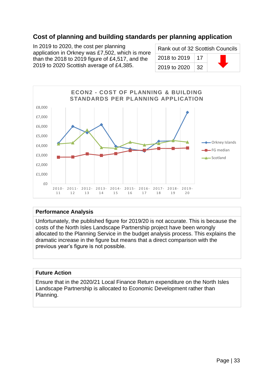### <span id="page-32-0"></span>**Cost of planning and building standards per planning application**

In 2019 to 2020, the cost per planning application in Orkney was £7,502, which is more than the 2018 to 2019 figure of £4,517, and the 2019 to 2020 Scottish average of £4,385.

| Rank out of 32 Scottish Councils |     |  |  |
|----------------------------------|-----|--|--|
| 2018 to 2019                     | -17 |  |  |
| 2019 to 2020                     | 32  |  |  |



#### **Performance Analysis**

Unfortunately, the published figure for 2019/20 is not accurate. This is because the costs of the North Isles Landscape Partnership project have been wrongly allocated to the Planning Service in the budget analysis process. This explains the dramatic increase in the figure but means that a direct comparison with the previous year's figure is not possible.

#### **Future Action**

Ensure that in the 2020/21 Local Finance Return expenditure on the North Isles Landscape Partnership is allocated to Economic Development rather than Planning.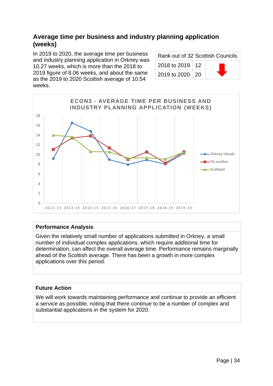### <span id="page-33-0"></span>**Average time per business and industry planning application (weeks)**

In 2019 to 2020, the average time per business and industry planning application in Orkney was 10.27 weeks, which is more than the 2018 to 2019 figure of 8.06 weeks, and about the same as the 2019 to 2020 Scottish average of 10.54 weeks.

| Rank out of 32 Scottish Councils |  |  |
|----------------------------------|--|--|
| 2018 to 2019   12                |  |  |
| 2019 to 2020   20                |  |  |



#### **Performance Analysis**

Given the relatively small number of applications submitted in Orkney, a small number of individual complex applications, which require additional time for determination, can affect the overall average time. Performance remains marginally ahead of the Scottish average. There has been a growth in more complex applications over this period.

#### **Future Action**

We will work towards maintaining performance and continue to provide an efficient a service as possible, noting that there continue to be a number of complex and substantial applications in the system for 2020.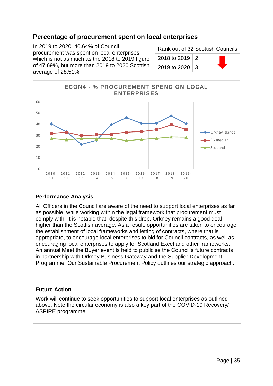### <span id="page-34-0"></span>**Percentage of procurement spent on local enterprises**

In 2019 to 2020, 40.64% of Council procurement was spent on local enterprises, which is not as much as the 2018 to 2019 figure of 47.69%, but more than 2019 to 2020 Scottish average of 28.51%.

| Rank out of 32 Scottish Councils |  |  |
|----------------------------------|--|--|
| 2018 to 2019   2                 |  |  |
| 2019 to 2020   3                 |  |  |



#### **Performance Analysis**

All Officers in the Council are aware of the need to support local enterprises as far as possible, while working within the legal framework that procurement must comply with. It is notable that, despite this drop, Orkney remains a good deal higher than the Scottish average. As a result, opportunities are taken to encourage the establishment of local frameworks and letting of contracts, where that is appropriate, to encourage local enterprises to bid for Council contracts, as well as encouraging local enterprises to apply for Scotland Excel and other frameworks. An annual Meet the Buyer event is held to publicise the Council's future contracts in partnership with Orkney Business Gateway and the Supplier Development Programme. Our Sustainable Procurement Policy outlines our strategic approach.

#### **Future Action**

Work will continue to seek opportunities to support local enterprises as outlined above. Note the circular economy is also a key part of the COVID-19 Recovery/ ASPIRE programme.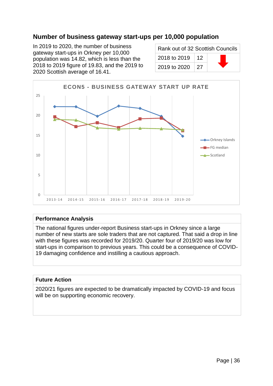### <span id="page-35-0"></span>**Number of business gateway start-ups per 10,000 population**

In 2019 to 2020, the number of business gateway start-ups in Orkney per 10,000 population was 14.82, which is less than the 2018 to 2019 figure of 19.83, and the 2019 to 2020 Scottish average of 16.41.

| Rank out of 32 Scottish Councils |    |  |
|----------------------------------|----|--|
| 2018 to 2019                     | 12 |  |
| 2019 to 2020                     | 27 |  |



#### **Performance Analysis**

The national figures under-report Business start-ups in Orkney since a large number of new starts are sole traders that are not captured. That said a drop in line with these figures was recorded for 2019/20. Quarter four of 2019/20 was low for start-ups in comparison to previous years. This could be a consequence of COVID-19 damaging confidence and instilling a cautious approach.

#### **Future Action**

2020/21 figures are expected to be dramatically impacted by COVID-19 and focus will be on supporting economic recovery.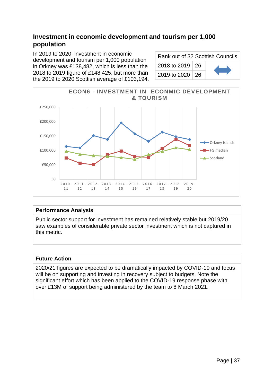# **Investment in economic development and tourism per 1,000 population**

In 2019 to 2020, investment in economic development and tourism per 1,000 population in Orkney was £138,482, which is less than the 2018 to 2019 figure of £148,425, but more than the 2019 to 2020 Scottish average of £103,194.

Rank out of 32 Scottish Councils 2018 to 2019 | 26 2019 to 2020  $\vert$  26



### **Performance Analysis**

Public sector support for investment has remained relatively stable but 2019/20 saw examples of considerable private sector investment which is not captured in this metric.

### **Future Action**

2020/21 figures are expected to be dramatically impacted by COVID-19 and focus will be on supporting and investing in recovery subject to budgets. Note the significant effort which has been applied to the COVID-19 response phase with over £13M of support being administered by the team to 8 March 2021.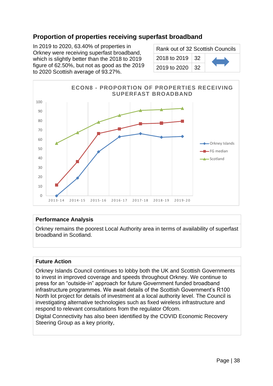# **Proportion of properties receiving superfast broadband**

In 2019 to 2020, 63.40% of properties in Orkney were receiving superfast broadband, which is slightly better than the 2018 to 2019 figure of 62.50%, but not as good as the 2019 to 2020 Scottish average of 93.27%.

| Rank out of 32 Scottish Councils |  |  |
|----------------------------------|--|--|
| 2018 to 2019   32                |  |  |
| 2019 to 2020   32                |  |  |



#### **Performance Analysis**

Orkney remains the poorest Local Authority area in terms of availability of superfast broadband in Scotland.

#### **Future Action**

Orkney Islands Council continues to lobby both the UK and Scottish Governments to invest in improved coverage and speeds throughout Orkney. We continue to press for an "outside-in" approach for future Government funded broadband infrastructure programmes. We await details of the Scottish Government's R100 North lot project for details of investment at a local authority level. The Council is investigating alternative technologies such as fixed wireless infrastructure and respond to relevant consultations from the regulator Ofcom.

Digital Connectivity has also been identified by the COVID Economic Recovery Steering Group as a key priority,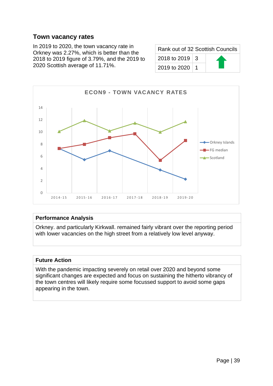### **Town vacancy rates**

In 2019 to 2020, the town vacancy rate in Orkney was 2.27%, which is better than the 2018 to 2019 figure of 3.79%, and the 2019 to 2020 Scottish average of 11.71%.

| Rank out of 32 Scottish Councils |  |  |
|----------------------------------|--|--|
| 2018 to 2019   3                 |  |  |
| 2019 to 2020   1                 |  |  |



#### **Performance Analysis**

Orkney. and particularly Kirkwall. remained fairly vibrant over the reporting period with lower vacancies on the high street from a relatively low level anyway.

#### **Future Action**

With the pandemic impacting severely on retail over 2020 and beyond some significant changes are expected and focus on sustaining the hitherto vibrancy of the town centres will likely require some focussed support to avoid some gaps appearing in the town.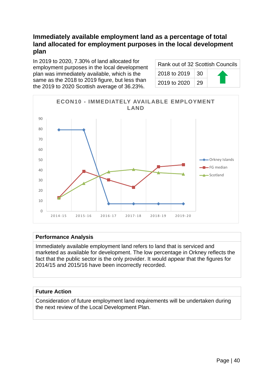# **Immediately available employment land as a percentage of total land allocated for employment purposes in the local development plan**

In 2019 to 2020, 7.30% of land allocated for employment purposes in the local development plan was immediately available, which is the same as the 2018 to 2019 figure, but less than the 2019 to 2020 Scottish average of 36.23%.

| Rank out of 32 Scottish Councils |      |  |
|----------------------------------|------|--|
| 2018 to 2019 $\vert$ 30          |      |  |
| 2019 to 2020                     | ∣ 29 |  |



#### **Performance Analysis**

Immediately available employment land refers to land that is serviced and marketed as available for development. The low percentage in Orkney reflects the fact that the public sector is the only provider. It would appear that the figures for 2014/15 and 2015/16 have been incorrectly recorded.

### **Future Action**

Consideration of future employment land requirements will be undertaken during the next review of the Local Development Plan.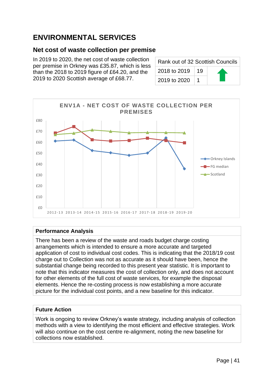# **ENVIRONMENTAL SERVICES**

### **Net cost of waste collection per premise**

In 2019 to 2020, the net cost of waste collection per premise in Orkney was £35.87, which is less than the 2018 to 2019 figure of £64.20, and the 2019 to 2020 Scottish average of £68.77.

| Rank out of 32 Scottish Councils |    |  |
|----------------------------------|----|--|
| 2018 to 2019                     | 19 |  |
| 2019 to 2020                     |    |  |



### **Performance Analysis**

There has been a review of the waste and roads budget charge costing arrangements which is intended to ensure a more accurate and targeted application of cost to individual cost codes. This is indicating that the 2018/19 cost charge out to Collection was not as accurate as it should have been, hence the substantial change being recorded to this present year statistic. It is important to note that this indicator measures the cost of collection only, and does not account for other elements of the full cost of waste services, for example the disposal elements. Hence the re-costing process is now establishing a more accurate picture for the individual cost points, and a new baseline for this indicator.

#### **Future Action**

Work is ongoing to review Orkney's waste strategy, including analysis of collection methods with a view to identifying the most efficient and effective strategies. Work will also continue on the cost centre re-alignment, noting the new baseline for collections now established.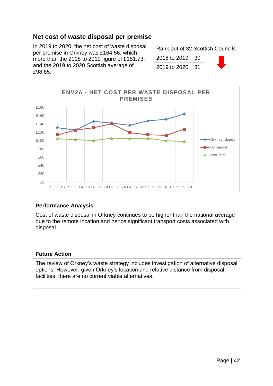## **Net cost of waste disposal per premise**

In 2019 to 2020, the net cost of waste disposal per premise in Orkney was £164.56, which more than the 2018 to 2019 figure of £151.73, and the 2019 to 2020 Scottish average of £98.65.

| Rank out of 32 Scottish Councils |  |  |
|----------------------------------|--|--|
| 2018 to 2019   30                |  |  |
| 2019 to 2020   31                |  |  |



#### **Performance Analysis**

Cost of waste disposal in Orkney continues to be higher than the national average due to the remote location and hence significant transport costs associated with disposal.

#### **Future Action**

The review of Orkney's waste strategy includes investigation of alternative disposal options. However, given Orkney's location and relative distance from disposal facilities, there are no current viable alternatives.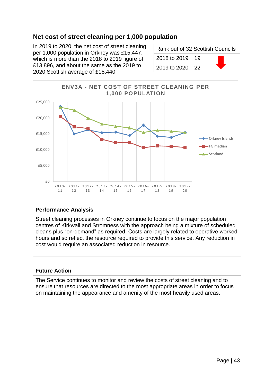# **Net cost of street cleaning per 1,000 population**

In 2019 to 2020, the net cost of street cleaning per 1,000 population in Orkney was £15,447, which is more than the 2018 to 2019 figure of £13,896, and about the same as the 2019 to 2020 Scottish average of £15,440.

| Rank out of 32 Scottish Councils |  |  |
|----------------------------------|--|--|
| 2018 to 2019   19                |  |  |
| 2019 to 2020   22                |  |  |



#### **Performance Analysis**

Street cleaning processes in Orkney continue to focus on the major population centres of Kirkwall and Stromness with the approach being a mixture of scheduled cleans plus "on-demand" as required. Costs are largely related to operative worked hours and so reflect the resource required to provide this service. Any reduction in cost would require an associated reduction in resource.

#### **Future Action**

The Service continues to monitor and review the costs of street cleaning and to ensure that resources are directed to the most appropriate areas in order to focus on maintaining the appearance and amenity of the most heavily used areas.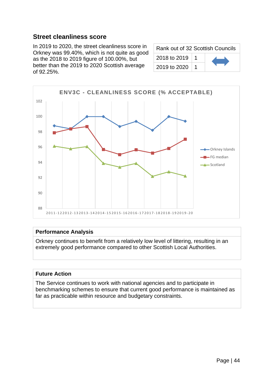### **Street cleanliness score**

In 2019 to 2020, the street cleanliness score in Orkney was 99.40%, which is not quite as good as the 2018 to 2019 figure of 100.00%, but better than the 2019 to 2020 Scottish average of 92.25%.

| Rank out of 32 Scottish Councils |  |  |
|----------------------------------|--|--|
| 2018 to 2019                     |  |  |
| 2019 to 2020                     |  |  |



#### **Performance Analysis**

Orkney continues to benefit from a relatively low level of littering, resulting in an extremely good performance compared to other Scottish Local Authorities.

#### **Future Action**

The Service continues to work with national agencies and to participate in benchmarking schemes to ensure that current good performance is maintained as far as practicable within resource and budgetary constraints.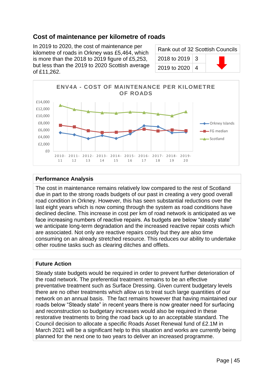## **Cost of maintenance per kilometre of roads**

In 2019 to 2020, the cost of maintenance per kilometre of roads in Orkney was £5,464, which is more than the 2018 to 2019 figure of £5,253, but less than the 2019 to 2020 Scottish average of £11,262.

| Rank out of 32 Scottish Councils |  |  |
|----------------------------------|--|--|
| 2018 to 2019   3                 |  |  |
| 2019 to 2020   4                 |  |  |



#### **Performance Analysis**

The cost in maintenance remains relatively low compared to the rest of Scotland due in part to the strong roads budgets of our past in creating a very good overall road condition in Orkney. However, this has seen substantial reductions over the last eight years which is now coming through the system as road conditions have declined decline. This increase in cost per km of road network is anticipated as we face increasing numbers of reactive repairs. As budgets are below "steady state" we anticipate long-term degradation and the increased reactive repair costs which are associated. Not only are reactive repairs costly but they are also time consuming on an already stretched resource. This reduces our ability to undertake other routine tasks such as clearing ditches and offlets.

#### **Future Action**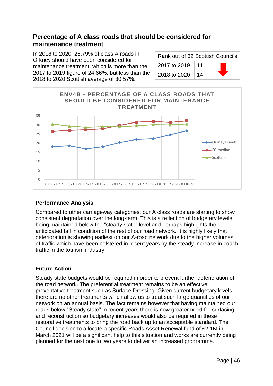# **Percentage of A class roads that should be considered for maintenance treatment**

In 2018 to 2020, 26.79% of class A roads in Orkney should have been considered for maintenance treatment, which is more than the 2017 to 2019 figure of 24.66%, but less than the 2018 to 2020 Scottish average of 30.57%.

| Rank out of 32 Scottish Councils |    |  |
|----------------------------------|----|--|
| 2017 to 2019                     | 11 |  |
| 2018 to 2020                     | 14 |  |



### **Performance Analysis**

Compared to other carriageway categories, our A class roads are starting to show consistent degradation over the long-term. This is a reflection of budgetary levels being maintained below the "steady state" level and perhaps highlights the anticipated fall in condition of the rest of our road network. It is highly likely that deterioration is showing earliest on our A-road network due to the higher volumes of traffic which have been bolstered in recent years by the steady increase in coach traffic in the tourism industry.

### **Future Action**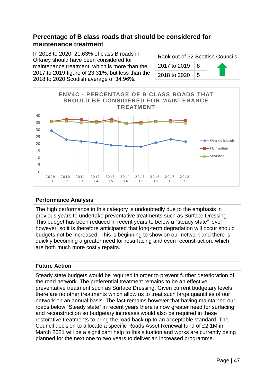# **Percentage of B class roads that should be considered for maintenance treatment**

In 2018 to 2020, 21.63% of class B roads in Orkney should have been considered for maintenance treatment, which is more than the 2017 to 2019 figure of 23.31%, but less than the 2018 to 2020 Scottish average of 34.96%.

| Rank out of 32 Scottish Councils |   |  |
|----------------------------------|---|--|
| 2017 to 2019                     | 8 |  |
| 2018 to 2020                     | 5 |  |



#### **Performance Analysis**

The high performance in this category is undoubtedly due to the emphasis in previous years to undertake preventative treatments such as Surface Dressing. This budget has been reduced in recent years to below a "steady state" level however, so it is therefore anticipated that long-term degradation will occur should budgets not be increased. This is beginning to show on our network and there is quickly becoming a greater need for resurfacing and even reconstruction, which are both much more costly repairs.

### **Future Action**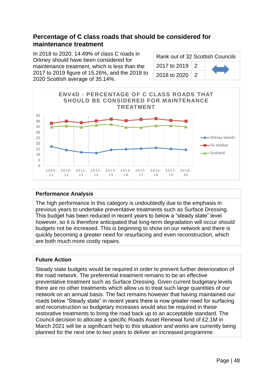# **Percentage of C class roads that should be considered for maintenance treatment**

In 2018 to 2020, 14.49% of class C roads in Orkney should have been considered for maintenance treatment, which is less than the 2017 to 2019 figure of 15.26%, and the 2018 to 2020 Scottish average of 35.14%.

| Rank out of 32 Scottish Councils |                 |  |
|----------------------------------|-----------------|--|
| 2017 to 2019                     | $\vert 2 \vert$ |  |
| 2018 to 2020                     | -2              |  |



#### **Performance Analysis**

The high performance in this category is undoubtedly due to the emphasis in previous years to undertake preventative treatments such as Surface Dressing. This budget has been reduced in recent years to below a "steady state" level however, so it is therefore anticipated that long-term degradation will occur should budgets not be increased. This is beginning to show on our network and there is quickly becoming a greater need for resurfacing and even reconstruction, which are both much more costly repairs.

#### **Future Action**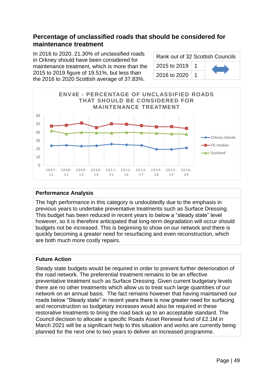## **Percentage of unclassified roads that should be considered for maintenance treatment**

In 2016 to 2020, 21.30% of unclassified roads in Orkney should have been considered for maintenance treatment, which is more than the 2015 to 2019 figure of 19.51%, but less than the 2016 to 2020 Scottish average of 37.83%.

| Rank out of 32 Scottish Councils |  |  |
|----------------------------------|--|--|
| 2015 to 2019                     |  |  |
| 2016 to 2020                     |  |  |



#### **Performance Analysis**

The high performance in this category is undoubtedly due to the emphasis in previous years to undertake preventative treatments such as Surface Dressing. This budget has been reduced in recent years to below a "steady state" level however, so it is therefore anticipated that long-term degradation will occur should budgets not be increased. This is beginning to show on our network and there is quickly becoming a greater need for resurfacing and even reconstruction, which are both much more costly repairs.

### **Future Action**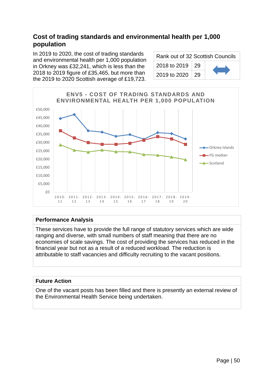# **Cost of trading standards and environmental health per 1,000 population**

In 2019 to 2020, the cost of trading standards and environmental health per 1,000 population in Orkney was £32,241, which is less than the 2018 to 2019 figure of £35,465, but more than the 2019 to 2020 Scottish average of £19,723.

| Rank out of 32 Scottish Councils |  |  |
|----------------------------------|--|--|
| 2018 to 2019   29                |  |  |
| 2019 to 2020   29                |  |  |



#### **Performance Analysis**

These services have to provide the full range of statutory services which are wide ranging and diverse, with small numbers of staff meaning that there are no economies of scale savings. The cost of providing the services has reduced in the financial year but not as a result of a reduced workload. The reduction is attributable to staff vacancies and difficulty recruiting to the vacant positions.

#### **Future Action**

One of the vacant posts has been filled and there is presently an external review of the Environmental Health Service being undertaken.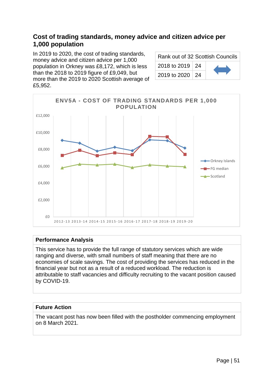# **Cost of trading standards, money advice and citizen advice per 1,000 population**

In 2019 to 2020, the cost of trading standards, money advice and citizen advice per 1,000 population in Orkney was £8,172, which is less than the 2018 to 2019 figure of £9,049, but more than the 2019 to 2020 Scottish average of £5,952.

| Rank out of 32 Scottish Councils |  |  |
|----------------------------------|--|--|
| 2018 to 2019   24                |  |  |
| 2019 to 2020   24                |  |  |



#### **Performance Analysis**

This service has to provide the full range of statutory services which are wide ranging and diverse, with small numbers of staff meaning that there are no economies of scale savings. The cost of providing the services has reduced in the financial year but not as a result of a reduced workload. The reduction is attributable to staff vacancies and difficulty recruiting to the vacant position caused by COVID-19.

#### **Future Action**

The vacant post has now been filled with the postholder commencing employment on 8 March 2021.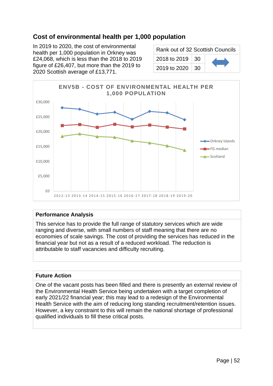# **Cost of environmental health per 1,000 population**

In 2019 to 2020, the cost of environmental health per 1,000 population in Orkney was £24,068, which is less than the 2018 to 2019 figure of £26,407, but more than the 2019 to 2020 Scottish average of £13,771.

| Rank out of 32 Scottish Councils |     |  |
|----------------------------------|-----|--|
| 2018 to 2019   30                |     |  |
| 2019 to 2020                     | -30 |  |



#### **Performance Analysis**

This service has to provide the full range of statutory services which are wide ranging and diverse, with small numbers of staff meaning that there are no economies of scale savings. The cost of providing the services has reduced in the financial year but not as a result of a reduced workload. The reduction is attributable to staff vacancies and difficulty recruiting.

### **Future Action**

One of the vacant posts has been filled and there is presently an external review of the Environmental Health Service being undertaken with a target completion of early 2021/22 financial year; this may lead to a redesign of the Environmental Health Service with the aim of reducing long standing recruitment/retention issues. However, a key constraint to this will remain the national shortage of professional qualified individuals to fill these critical posts.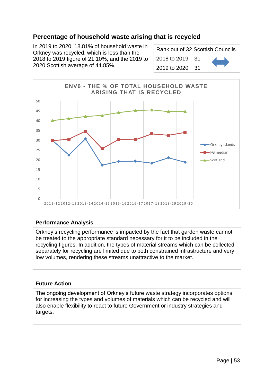# **Percentage of household waste arising that is recycled**

In 2019 to 2020, 18.81% of household waste in Orkney was recycled, which is less than the 2018 to 2019 figure of 21.10%, and the 2019 to 2020 Scottish average of 44.85%.

| Rank out of 32 Scottish Councils |  |  |
|----------------------------------|--|--|
| 2018 to 2019   31                |  |  |
| 2019 to 2020   31                |  |  |



#### **Performance Analysis**

Orkney's recycling performance is impacted by the fact that garden waste cannot be treated to the appropriate standard necessary for it to be included in the recycling figures. In addition, the types of material streams which can be collected separately for recycling are limited due to both constrained infrastructure and very low volumes, rendering these streams unattractive to the market.

#### **Future Action**

The ongoing development of Orkney's future waste strategy incorporates options for increasing the types and volumes of materials which can be recycled and will also enable flexibility to react to future Government or industry strategies and targets.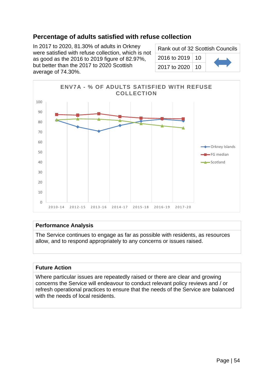# **Percentage of adults satisfied with refuse collection**

In 2017 to 2020, 81.30% of adults in Orkney were satisfied with refuse collection, which is not as good as the 2016 to 2019 figure of 82.97%, but better than the 2017 to 2020 Scottish average of 74.30%.

| Rank out of 32 Scottish Councils |  |  |
|----------------------------------|--|--|
| 2016 to 2019   10                |  |  |
| 2017 to 2020   10                |  |  |



### **Performance Analysis**

The Service continues to engage as far as possible with residents, as resources allow, and to respond appropriately to any concerns or issues raised.

#### **Future Action**

Where particular issues are repeatedly raised or there are clear and growing concerns the Service will endeavour to conduct relevant policy reviews and / or refresh operational practices to ensure that the needs of the Service are balanced with the needs of local residents.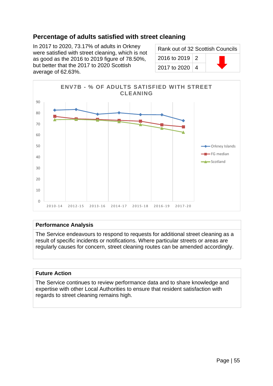# **Percentage of adults satisfied with street cleaning**

In 2017 to 2020, 73.17% of adults in Orkney were satisfied with street cleaning, which is not as good as the 2016 to 2019 figure of 78.50%, but better that the 2017 to 2020 Scottish average of 62.63%.

| Rank out of 32 Scottish Councils |  |  |
|----------------------------------|--|--|
| 2016 to 2019   2                 |  |  |
| 2017 to 2020   4                 |  |  |



#### **Performance Analysis**

The Service endeavours to respond to requests for additional street cleaning as a result of specific incidents or notifications. Where particular streets or areas are regularly causes for concern, street cleaning routes can be amended accordingly.

#### **Future Action**

The Service continues to review performance data and to share knowledge and expertise with other Local Authorities to ensure that resident satisfaction with regards to street cleaning remains high.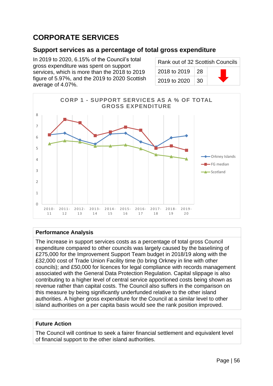# **CORPORATE SERVICES**

### **Support services as a percentage of total gross expenditure**

In 2019 to 2020, 6.15% of the Council's total gross expenditure was spent on support services, which is more than the 2018 to 2019 figure of 5.97%, and the 2019 to 2020 Scottish average of 4.07%.

| Rank out of 32 Scottish Councils |      |  |
|----------------------------------|------|--|
| 2018 to 2019                     | ∣ 28 |  |
| 2019 to 2020                     | -30  |  |



#### **Performance Analysis**

The increase in support services costs as a percentage of total gross Council expenditure compared to other councils was largely caused by the baselining of £275,000 for the Improvement Support Team budget in 2018/19 along with the £32,000 cost of Trade Union Facility time (to bring Orkney in line with other councils); and £50,000 for licences for legal compliance with records management associated with the General Data Protection Regulation. Capital slippage is also contributing to a higher level of central service apportioned costs being shown as revenue rather than capital costs. The Council also suffers in the comparison on this measure by being significantly underfunded relative to the other island authorities. A higher gross expenditure for the Council at a similar level to other island authorities on a per capita basis would see the rank position improved.

### **Future Action**

The Council will continue to seek a fairer financial settlement and equivalent level of financial support to the other island authorities.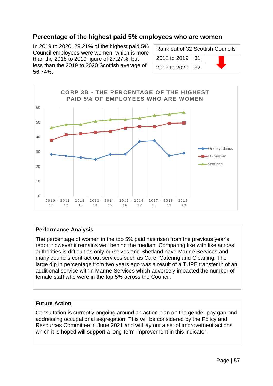### **Percentage of the highest paid 5% employees who are women**

In 2019 to 2020, 29.21% of the highest paid 5% Council employees were women, which is more than the 2018 to 2019 figure of 27.27%, but less than the 2019 to 2020 Scottish average of 56.74%.

| Rank out of 32 Scottish Councils |     |  |
|----------------------------------|-----|--|
| 2018 to 2019   31                |     |  |
| 2019 to 2020                     | -32 |  |



#### **Performance Analysis**

The percentage of women in the top 5% paid has risen from the previous year's report however it remains well behind the median. Comparing like with like across authorities is difficult as only ourselves and Shetland have Marine Services and many councils contract out services such as Care, Catering and Cleaning. The large dip in percentage from two years ago was a result of a TUPE transfer in of an additional service within Marine Services which adversely impacted the number of female staff who were in the top 5% across the Council.

#### **Future Action**

Consultation is currently ongoing around an action plan on the gender pay gap and addressing occupational segregation. This will be considered by the Policy and Resources Committee in June 2021 and will lay out a set of improvement actions which it is hoped will support a long-term improvement in this indicator.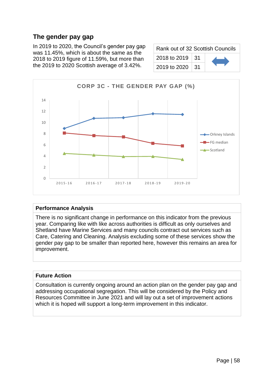# **The gender pay gap**

In 2019 to 2020, the Council's gender pay gap was 11.45%, which is about the same as the 2018 to 2019 figure of 11.59%, but more than the 2019 to 2020 Scottish average of 3.42%.

| Rank out of 32 Scottish Councils |  |  |
|----------------------------------|--|--|
| 2018 to 2019   31                |  |  |
| 2019 to 2020   31                |  |  |



#### **Performance Analysis**

There is no significant change in performance on this indicator from the previous year. Comparing like with like across authorities is difficult as only ourselves and Shetland have Marine Services and many councils contract out services such as Care, Catering and Cleaning. Analysis excluding some of these services show the gender pay gap to be smaller than reported here, however this remains an area for improvement.

#### **Future Action**

Consultation is currently ongoing around an action plan on the gender pay gap and addressing occupational segregation. This will be considered by the Policy and Resources Committee in June 2021 and will lay out a set of improvement actions which it is hoped will support a long-term improvement in this indicator.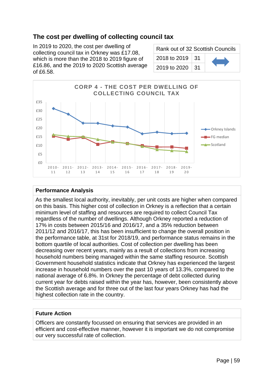# **The cost per dwelling of collecting council tax**

In 2019 to 2020, the cost per dwelling of collecting council tax in Orkney was £17.08, which is more than the 2018 to 2019 figure of £16.86, and the 2019 to 2020 Scottish average of £6.58.

| Rank out of 32 Scottish Councils |  |  |
|----------------------------------|--|--|
| 2018 to 2019   31                |  |  |
| 2019 to 2020   31                |  |  |



#### **Performance Analysis**

As the smallest local authority, inevitably, per unit costs are higher when compared on this basis. This higher cost of collection in Orkney is a reflection that a certain minimum level of staffing and resources are required to collect Council Tax regardless of the number of dwellings. Although Orkney reported a reduction of 17% in costs between 2015/16 and 2016/17, and a 35% reduction between 2011/12 and 2016/17, this has been insufficient to change the overall position in the performance table, at 31st for 2018/19, and performance status remains in the bottom quartile of local authorities. Cost of collection per dwelling has been decreasing over recent years, mainly as a result of collections from increasing household numbers being managed within the same staffing resource. Scottish Government household statistics indicate that Orkney has experienced the largest increase in household numbers over the past 10 years of 13.3%, compared to the national average of 6.8%. In Orkney the percentage of debt collected during current year for debts raised within the year has, however, been consistently above the Scottish average and for three out of the last four years Orkney has had the highest collection rate in the country.

#### **Future Action**

Officers are constantly focussed on ensuring that services are provided in an efficient and cost-effective manner, however it is important we do not compromise our very successful rate of collection.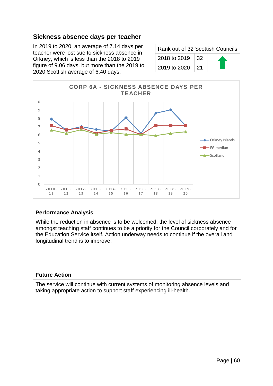### **Sickness absence days per teacher**

In 2019 to 2020, an average of 7.14 days per teacher were lost sue to sickness absence in Orkney, which is less than the 2018 to 2019 figure of 9.06 days, but more than the 2019 to 2020 Scottish average of 6.40 days.

| Rank out of 32 Scottish Councils |     |  |
|----------------------------------|-----|--|
| 2018 to 2019                     | 32  |  |
| 2019 to 2020                     | -21 |  |



#### **Performance Analysis**

While the reduction in absence is to be welcomed, the level of sickness absence amongst teaching staff continues to be a priority for the Council corporately and for the Education Service itself. Action underway needs to continue if the overall and longitudinal trend is to improve.

#### **Future Action**

The service will continue with current systems of monitoring absence levels and taking appropriate action to support staff experiencing ill-health.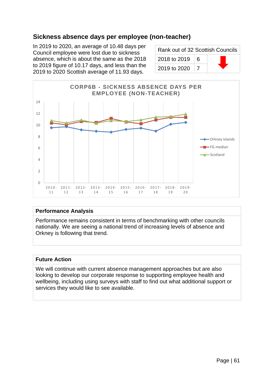# **Sickness absence days per employee (non-teacher)**

In 2019 to 2020, an average of 10.48 days per Council employee were lost due to sickness absence, which is about the same as the 2018 to 2019 figure of 10.17 days, and less than the 2019 to 2020 Scottish average of 11.93 days.

| Rank out of 32 Scottish Councils |   |  |
|----------------------------------|---|--|
| 2018 to 2019                     | 6 |  |
| 2019 to 2020                     |   |  |



#### **Performance Analysis**

Performance remains consistent in terms of benchmarking with other councils nationally. We are seeing a national trend of increasing levels of absence and Orkney is following that trend.

#### **Future Action**

We will continue with current absence management approaches but are also looking to develop our corporate response to supporting employee health and wellbeing, including using surveys with staff to find out what additional support or services they would like to see available.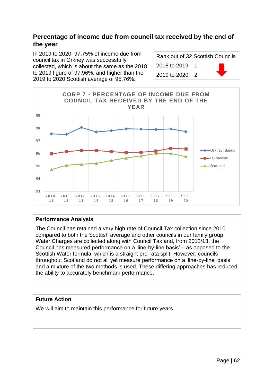### **Percentage of income due from council tax received by the end of the year**

In 2019 to 2020, 97.75% of income due from council tax in Orkney was successfully collected, which is about the same as the 2018 to 2019 figure of 97.96%, and higher than the 2019 to 2020 Scottish average of 95.76%.

| Rank out of 32 Scottish Councils |  |  |
|----------------------------------|--|--|
| 2018 to 2019   1                 |  |  |
| 2019 to 2020   2                 |  |  |



### **Performance Analysis**

The Council has retained a very high rate of Council Tax collection since 2010 compared to both the Scottish average and other councils in our family group. Water Charges are collected along with Council Tax and, from 2012/13, the Council has measured performance on a 'line-by-line basis' – as opposed to the Scottish Water formula, which is a straight pro-rata split. However, councils throughout Scotland do not all yet measure performance on a 'line-by-line' basis and a mixture of the two methods is used. These differing approaches has reduced the ability to accurately benchmark performance.

### **Future Action**

We will aim to maintain this performance for future years.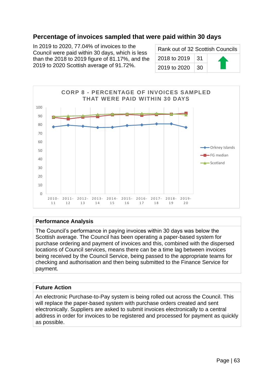## **Percentage of invoices sampled that were paid within 30 days**

In 2019 to 2020, 77.04% of invoices to the Council were paid within 30 days, which is less than the 2018 to 2019 figure of  $81.17\%$ , and the 2019 to 2020 Scottish average of 91.72%.

| Rank out of 32 Scottish Councils |     |  |
|----------------------------------|-----|--|
| 2018 to 2019                     | .31 |  |
| 2019 to 2020                     | 30  |  |



#### **Performance Analysis**

The Council's performance in paying invoices within 30 days was below the Scottish average. The Council has been operating a paper-based system for purchase ordering and payment of invoices and this, combined with the dispersed locations of Council services, means there can be a time lag between invoices being received by the Council Service, being passed to the appropriate teams for checking and authorisation and then being submitted to the Finance Service for payment.

#### **Future Action**

An electronic Purchase-to-Pay system is being rolled out across the Council. This will replace the paper-based system with purchase orders created and sent electronically. Suppliers are asked to submit invoices electronically to a central address in order for invoices to be registered and processed for payment as quickly as possible.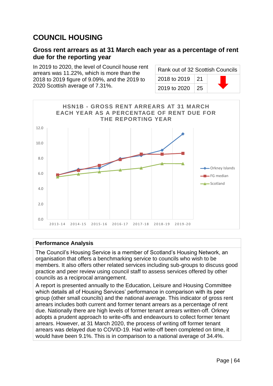# **COUNCIL HOUSING**

### **Gross rent arrears as at 31 March each year as a percentage of rent due for the reporting year**

In 2019 to 2020, the level of Council house rent arrears was 11.22%, which is more than the 2018 to 2019 figure of 9.09%, and the 2019 to 2020 Scottish average of 7.31%.

| Rank out of 32 Scottish Councils |      |  |
|----------------------------------|------|--|
| 2018 to 2019                     | ∣ 21 |  |
| 2019 to 2020                     | 25   |  |



#### **Performance Analysis**

The Council's Housing Service is a member of Scotland's Housing Network, an organisation that offers a benchmarking service to councils who wish to be members. It also offers other related services including sub-groups to discuss good practice and peer review using council staff to assess services offered by other councils as a reciprocal arrangement.

A report is presented annually to the Education, Leisure and Housing Committee which details all of Housing Services' performance in comparison with its peer group (other small councils) and the national average. This indicator of gross rent arrears includes both current and former tenant arrears as a percentage of rent due. Nationally there are high levels of former tenant arrears written-off. Orkney adopts a prudent approach to write-offs and endeavours to collect former tenant arrears. However, at 31 March 2020, the process of writing off former tenant arrears was delayed due to COVID-19. Had write-off been completed on time, it would have been 9.1%. This is in comparison to a national average of 34.4%.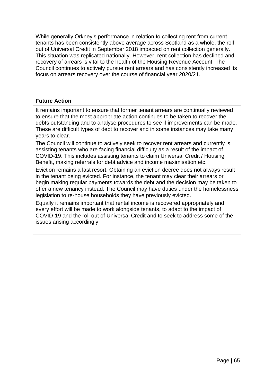While generally Orkney's performance in relation to collecting rent from current tenants has been consistently above average across Scotland as a whole, the roll out of Universal Credit in September 2018 impacted on rent collection generally. This situation was replicated nationally. However, rent collection has declined and recovery of arrears is vital to the health of the Housing Revenue Account. The Council continues to actively pursue rent arrears and has consistently increased its focus on arrears recovery over the course of financial year 2020/21.

### **Future Action**

It remains important to ensure that former tenant arrears are continually reviewed to ensure that the most appropriate action continues to be taken to recover the debts outstanding and to analyse procedures to see if improvements can be made. These are difficult types of debt to recover and in some instances may take many years to clear.

The Council will continue to actively seek to recover rent arrears and currently is assisting tenants who are facing financial difficulty as a result of the impact of COVID-19. This includes assisting tenants to claim Universal Credit / Housing Benefit, making referrals for debt advice and income maximisation etc.

Eviction remains a last resort. Obtaining an eviction decree does not always result in the tenant being evicted. For instance, the tenant may clear their arrears or begin making regular payments towards the debt and the decision may be taken to offer a new tenancy instead. The Council may have duties under the homelessness legislation to re-house households they have previously evicted.

Equally it remains important that rental income is recovered appropriately and every effort will be made to work alongside tenants, to adapt to the impact of COVID-19 and the roll out of Universal Credit and to seek to address some of the issues arising accordingly.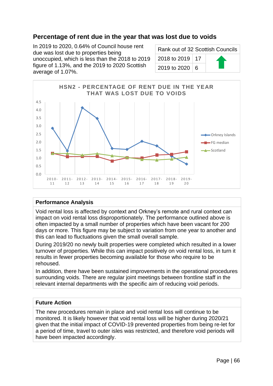# **Percentage of rent due in the year that was lost due to voids**

In 2019 to 2020, 0.64% of Council house rent due was lost due to properties being unoccupied, which is less than the 2018 to 2019 figure of 1.13%, and the 2019 to 2020 Scottish average of 1.07%.

| Rank out of 32 Scottish Councils |  |  |
|----------------------------------|--|--|
| 2018 to 2019   17                |  |  |
| 2019 to 2020 6                   |  |  |



#### **Performance Analysis**

Void rental loss is affected by context and Orkney's remote and rural context can impact on void rental loss disproportionately. The performance outlined above is often impacted by a small number of properties which have been vacant for 200 days or more. This figure may be subject to variation from one year to another and this can lead to fluctuations given the small overall sample.

During 2019/20 no newly built properties were completed which resulted in a lower turnover of properties. While this can impact positively on void rental loss, in turn it results in fewer properties becoming available for those who require to be rehoused.

In addition, there have been sustained improvements in the operational procedures surrounding voids. There are regular joint meetings between frontline staff in the relevant internal departments with the specific aim of reducing void periods.

#### **Future Action**

The new procedures remain in place and void rental loss will continue to be monitored. It is likely however that void rental loss will be higher during 2020/21 given that the initial impact of COVID-19 prevented properties from being re-let for a period of time, travel to outer isles was restricted, and therefore void periods will have been impacted accordingly.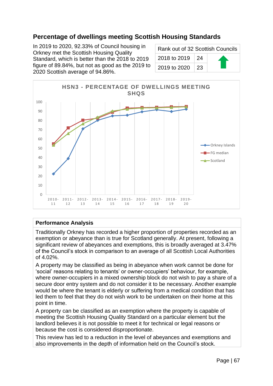# **Percentage of dwellings meeting Scottish Housing Standards**

In 2019 to 2020, 92.33% of Council housing in Orkney met the Scottish Housing Quality Standard, which is better than the 2018 to 2019 figure of 89.84%, but not as good as the 2019 to 2020 Scottish average of 94.86%.

| Rank out of 32 Scottish Councils |    |  |
|----------------------------------|----|--|
| 2018 to 2019                     | 24 |  |
| 2019 to 2020                     | 23 |  |



#### **Performance Analysis**

Traditionally Orkney has recorded a higher proportion of properties recorded as an exemption or abeyance than is true for Scotland generally. At present, following a significant review of abeyances and exemptions, this is broadly averaged at 3.47% of the Council's stock in comparison to an average of all Scottish Local Authorities of 4.02%.

A property may be classified as being in abeyance when work cannot be done for 'social' reasons relating to tenants' or owner-occupiers' behaviour, for example, where owner-occupiers in a mixed ownership block do not wish to pay a share of a secure door entry system and do not consider it to be necessary. Another example would be where the tenant is elderly or suffering from a medical condition that has led them to feel that they do not wish work to be undertaken on their home at this point in time.

A property can be classified as an exemption where the property is capable of meeting the Scottish Housing Quality Standard on a particular element but the landlord believes it is not possible to meet it for technical or legal reasons or because the cost is considered disproportionate.

This review has led to a reduction in the level of abeyances and exemptions and also improvements in the depth of information held on the Council's stock.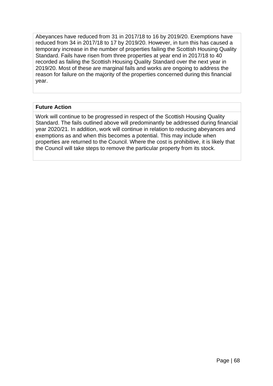Abeyances have reduced from 31 in 2017/18 to 16 by 2019/20. Exemptions have reduced from 34 in 2017/18 to 17 by 2019/20. However, in turn this has caused a temporary increase in the number of properties failing the Scottish Housing Quality Standard. Fails have risen from three properties at year end in 2017/18 to 40 recorded as failing the Scottish Housing Quality Standard over the next year in 2019/20. Most of these are marginal fails and works are ongoing to address the reason for failure on the majority of the properties concerned during this financial year.

#### **Future Action**

Work will continue to be progressed in respect of the Scottish Housing Quality Standard. The fails outlined above will predominantly be addressed during financial year 2020/21. In addition, work will continue in relation to reducing abeyances and exemptions as and when this becomes a potential. This may include when properties are returned to the Council. Where the cost is prohibitive, it is likely that the Council will take steps to remove the particular property from its stock.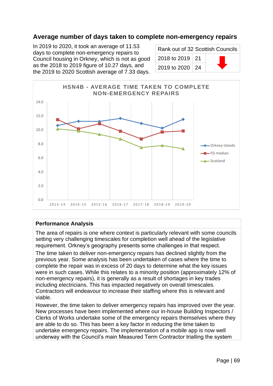### **Average number of days taken to complete non-emergency repairs**

In 2019 to 2020, it took an average of 11.53 days to complete non-emergency repairs to Council housing in Orkney, which is not as good as the 2018 to 2019 figure of 10.27 days, and the 2019 to 2020 Scottish average of 7.33 days.

| Rank out of 32 Scottish Councils |  |  |
|----------------------------------|--|--|
| 2018 to 2019   21                |  |  |
| 2019 to 2020   24                |  |  |



#### **Performance Analysis**

The area of repairs is one where context is particularly relevant with some councils setting very challenging timescales for completion well ahead of the legislative requirement. Orkney's geography presents some challenges in that respect.

The time taken to deliver non-emergency repairs has declined slightly from the previous year. Some analysis has been undertaken of cases where the time to complete the repair was in excess of 20 days to determine what the key issues were in such cases. While this relates to a minority position (approximately 12% of non-emergency repairs), it is generally as a result of shortages in key trades including electricians. This has impacted negatively on overall timescales. Contractors will endeavour to increase their staffing where this is relevant and viable.

However, the time taken to deliver emergency repairs has improved over the year. New processes have been implemented where our in-house Building Inspectors / Clerks of Works undertake some of the emergency repairs themselves where they are able to do so. This has been a key factor in reducing the time taken to undertake emergency repairs. The implementation of a mobile app is now well underway with the Council's main Measured Term Contractor trialling the system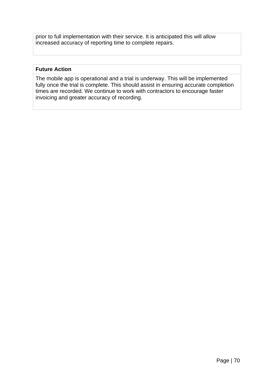prior to full implementation with their service. It is anticipated this will allow increased accuracy of reporting time to complete repairs.

#### **Future Action**

The mobile app is operational and a trial is underway. This will be implemented fully once the trial is complete. This should assist in ensuring accurate completion times are recorded. We continue to work with contractors to encourage faster invoicing and greater accuracy of recording.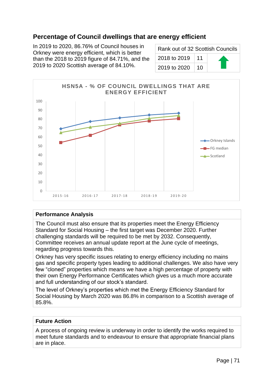# **Percentage of Council dwellings that are energy efficient**

In 2019 to 2020, 86.76% of Council houses in Orkney were energy efficient, which is better than the 2018 to 2019 figure of 84.71%, and the 2019 to 2020 Scottish average of 84.10%.

| Rank out of 32 Scottish Councils |    |  |
|----------------------------------|----|--|
| 2018 to 2019                     | 11 |  |
| 2019 to 2020                     | 10 |  |



#### **Performance Analysis**

The Council must also ensure that its properties meet the Energy Efficiency Standard for Social Housing – the first target was December 2020. Further challenging standards will be required to be met by 2032. Consequently, Committee receives an annual update report at the June cycle of meetings, regarding progress towards this.

Orkney has very specific issues relating to energy efficiency including no mains gas and specific property types leading to additional challenges. We also have very few "cloned" properties which means we have a high percentage of property with their own Energy Performance Certificates which gives us a much more accurate and full understanding of our stock's standard.

The level of Orkney's properties which met the Energy Efficiency Standard for Social Housing by March 2020 was 86.8% in comparison to a Scottish average of 85.8%.

#### **Future Action**

A process of ongoing review is underway in order to identify the works required to meet future standards and to endeavour to ensure that appropriate financial plans are in place.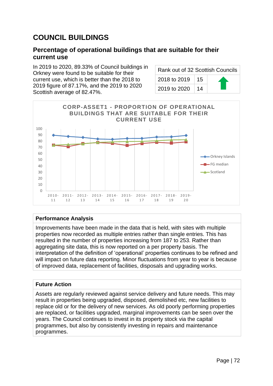# **COUNCIL BUILDINGS**

### **Percentage of operational buildings that are suitable for their current use**

In 2019 to 2020, 89.33% of Council buildings in Orkney were found to be suitable for their current use, which is better than the 2018 to 2019 figure of 87.17%, and the 2019 to 2020 Scottish average of 82.47%.

| Rank out of 32 Scottish Councils |              |    |  |
|----------------------------------|--------------|----|--|
|                                  | 2018 to 2019 | 15 |  |
|                                  | 2019 to 2020 | 14 |  |



#### **Performance Analysis**

Improvements have been made in the data that is held, with sites with multiple properties now recorded as multiple entries rather than single entries. This has resulted in the number of properties increasing from 187 to 253. Rather than aggregating site data, this is now reported on a per property basis. The interpretation of the definition of 'operational' properties continues to be refined and will impact on future data reporting. Minor fluctuations from year to year is because of improved data, replacement of facilities, disposals and upgrading works.

### **Future Action**

Assets are regularly reviewed against service delivery and future needs. This may result in properties being upgraded, disposed, demolished etc, new facilities to replace old or for the delivery of new services. As old poorly performing properties are replaced, or facilities upgraded, marginal improvements can be seen over the years. The Council continues to invest in its property stock via the capital programmes, but also by consistently investing in repairs and maintenance programmes.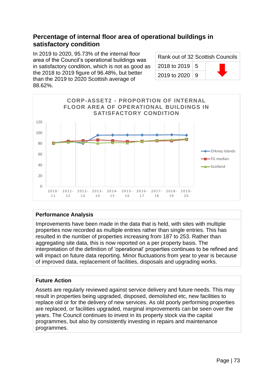## **Percentage of internal floor area of operational buildings in satisfactory condition**

In 2019 to 2020, 95.73% of the internal floor area of the Council's operational buildings was in satisfactory condition, which is not as good as the 2018 to 2019 figure of 96.48%, but better than the 2019 to 2020 Scottish average of 88.62%.

| Rank out of 32 Scottish Councils |  |  |
|----------------------------------|--|--|
| 2018 to 2019   5                 |  |  |
| 2019 to 2020   9                 |  |  |



### **Performance Analysis**

Improvements have been made in the data that is held, with sites with multiple properties now recorded as multiple entries rather than single entries. This has resulted in the number of properties increasing from 187 to 253. Rather than aggregating site data, this is now reported on a per property basis. The interpretation of the definition of 'operational' properties continues to be refined and will impact on future data reporting. Minor fluctuations from year to year is because of improved data, replacement of facilities, disposals and upgrading works.

### **Future Action**

Assets are regularly reviewed against service delivery and future needs. This may result in properties being upgraded, disposed, demolished etc, new facilities to replace old or for the delivery of new services. As old poorly performing properties are replaced, or facilities upgraded, marginal improvements can be seen over the years. The Council continues to invest in its property stock via the capital programmes, but also by consistently investing in repairs and maintenance programmes.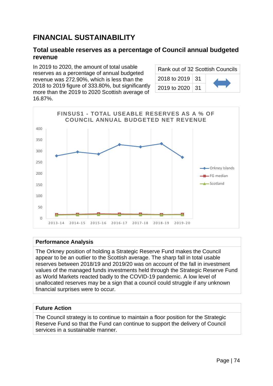# **FINANCIAL SUSTAINABILITY**

## **Total useable reserves as a percentage of Council annual budgeted revenue**

In 2019 to 2020, the amount of total usable reserves as a percentage of annual budgeted revenue was 272.90%, which is less than the 2018 to 2019 figure of 333.80%, but significantly more than the 2019 to 2020 Scottish average of 16.87%.

| Rank out of 32 Scottish Councils |  |  |
|----------------------------------|--|--|
| 2018 to 2019   31                |  |  |
| 2019 to 2020   31                |  |  |



### **Performance Analysis**

The Orkney position of holding a Strategic Reserve Fund makes the Council appear to be an outlier to the Scottish average. The sharp fall in total usable reserves between 2018/19 and 2019/20 was on account of the fall in investment values of the managed funds investments held through the Strategic Reserve Fund as World Markets reacted badly to the COVID-19 pandemic. A low level of unallocated reserves may be a sign that a council could struggle if any unknown financial surprises were to occur.

### **Future Action**

The Council strategy is to continue to maintain a floor position for the Strategic Reserve Fund so that the Fund can continue to support the delivery of Council services in a sustainable manner.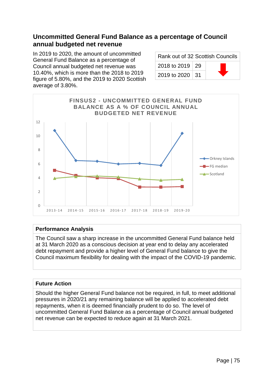## **Uncommitted General Fund Balance as a percentage of Council annual budgeted net revenue**

In 2019 to 2020, the amount of uncommitted General Fund Balance as a percentage of Council annual budgeted net revenue was 10.40%, which is more than the 2018 to 2019 figure of 5.80%, and the 2019 to 2020 Scottish average of 3.80%.

| Rank out of 32 Scottish Councils |  |  |
|----------------------------------|--|--|
| 2018 to 2019   29                |  |  |
| 2019 to 2020 31                  |  |  |



### **Performance Analysis**

The Council saw a sharp increase in the uncommitted General Fund balance held at 31 March 2020 as a conscious decision at year end to delay any accelerated debt repayment and provide a higher level of General Fund balance to give the Council maximum flexibility for dealing with the impact of the COVID-19 pandemic.

### **Future Action**

Should the higher General Fund balance not be required, in full, to meet additional pressures in 2020/21 any remaining balance will be applied to accelerated debt repayments, when it is deemed financially prudent to do so. The level of uncommitted General Fund Balance as a percentage of Council annual budgeted net revenue can be expected to reduce again at 31 March 2021.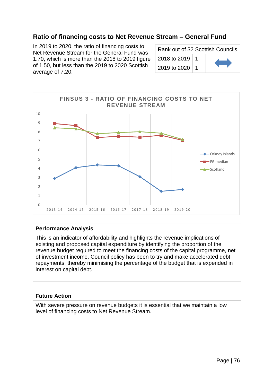## **Ratio of financing costs to Net Revenue Stream – General Fund**

In 2019 to 2020, the ratio of financing costs to Net Revenue Stream for the General Fund was 1.70, which is more than the 2018 to 2019 figure of 1.50, but less than the 2019 to 2020 Scottish average of 7.20.

| Rank out of 32 Scottish Councils |  |  |
|----------------------------------|--|--|
| 2018 to 2019   1                 |  |  |
| 2019 to 2020                     |  |  |



### **Performance Analysis**

This is an indicator of affordability and highlights the revenue implications of existing and proposed capital expenditure by identifying the proportion of the revenue budget required to meet the financing costs of the capital programme, net of investment income. Council policy has been to try and make accelerated debt repayments, thereby minimising the percentage of the budget that is expended in interest on capital debt.

### **Future Action**

With severe pressure on revenue budgets it is essential that we maintain a low level of financing costs to Net Revenue Stream.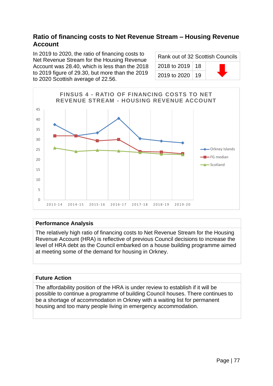## **Ratio of financing costs to Net Revenue Stream – Housing Revenue Account**

In 2019 to 2020, the ratio of financing costs to Net Revenue Stream for the Housing Revenue Account was 28.40, which is less than the 2018 to 2019 figure of 29.30, but more than the 2019 to 2020 Scottish average of 22.56.

| Rank out of 32 Scottish Councils |  |  |
|----------------------------------|--|--|
| 2018 to 2019   18                |  |  |
| 2019 to 2020   19                |  |  |



### **Performance Analysis**

The relatively high ratio of financing costs to Net Revenue Stream for the Housing Revenue Account (HRA) is reflective of previous Council decisions to increase the level of HRA debt as the Council embarked on a house building programme aimed at meeting some of the demand for housing in Orkney.

### **Future Action**

The affordability position of the HRA is under review to establish if it will be possible to continue a programme of building Council houses. There continues to be a shortage of accommodation in Orkney with a waiting list for permanent housing and too many people living in emergency accommodation.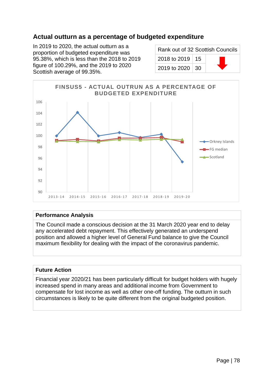## **Actual outturn as a percentage of budgeted expenditure**

In 2019 to 2020, the actual outturn as a proportion of budgeted expenditure was 95.38%, which is less than the 2018 to 2019 figure of 100.29%, and the 2019 to 2020 Scottish average of 99.35%.

| Rank out of 32 Scottish Councils |  |  |
|----------------------------------|--|--|
| 2018 to 2019   15                |  |  |
| 2019 to 2020   30                |  |  |



### **Performance Analysis**

The Council made a conscious decision at the 31 March 2020 year end to delay any accelerated debt repayment. This effectively generated an underspend position and allowed a higher level of General Fund balance to give the Council maximum flexibility for dealing with the impact of the coronavirus pandemic.

### **Future Action**

Financial year 2020/21 has been particularly difficult for budget holders with hugely increased spend in many areas and additional income from Government to compensate for lost income as well as other one-off funding. The outturn in such circumstances is likely to be quite different from the original budgeted position.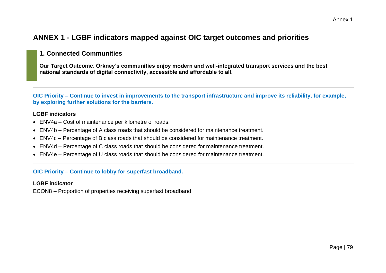# **ANNEX 1 - LGBF indicators mapped against OIC target outcomes and priorities**

## **1. Connected Communities**

**Our Target Outcome**: **Orkney's communities enjoy modern and well-integrated transport services and the best national standards of digital connectivity, accessible and affordable to all.**

**OIC Priority – Continue to invest in improvements to the transport infrastructure and improve its reliability, for example, by exploring further solutions for the barriers.**

### **LGBF indicators**

- ENV4a Cost of maintenance per kilometre of roads.
- ENV4b Percentage of A class roads that should be considered for maintenance treatment.
- ENV4c Percentage of B class roads that should be considered for maintenance treatment.
- ENV4d Percentage of C class roads that should be considered for maintenance treatment.
- ENV4e Percentage of U class roads that should be considered for maintenance treatment.

### **OIC Priority – Continue to lobby for superfast broadband.**

### **LGBF indicator**

ECON8 – Proportion of properties receiving superfast broadband.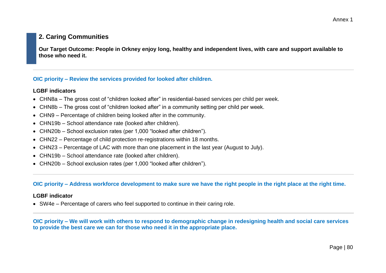## **2. Caring Communities**

**Our Target Outcome: People in Orkney enjoy long, healthy and independent lives, with care and support available to those who need it.**

### **OIC priority – Review the services provided for looked after children.**

### **LGBF indicators**

- CHN8a The gross cost of "children looked after" in residential-based services per child per week.
- CHN8b The gross cost of "children looked after" in a community setting per child per week.
- CHN9 Percentage of children being looked after in the community.
- CHN19b School attendance rate (looked after children).
- CHN20b School exclusion rates (per 1,000 "looked after children").
- CHN22 Percentage of child protection re-registrations within 18 months.
- CHN23 Percentage of LAC with more than one placement in the last year (August to July).
- CHN19b School attendance rate (looked after children).
- CHN20b School exclusion rates (per 1,000 "looked after children").

### **OIC priority – Address workforce development to make sure we have the right people in the right place at the right time.**

### **LGBF indicator**

• SW4e – Percentage of carers who feel supported to continue in their caring role.

**OIC priority – We will work with others to respond to demographic change in redesigning health and social care services to provide the best care we can for those who need it in the appropriate place.**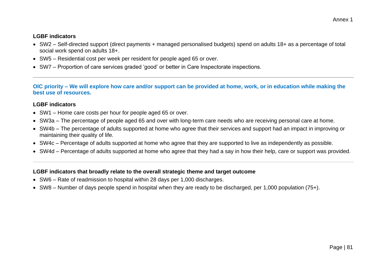#### **LGBF indicators**

- SW2 Self-directed support (direct payments + managed personalised budgets) spend on adults 18+ as a percentage of total social work spend on adults 18+.
- SW5 Residential cost per week per resident for people aged 65 or over.
- SW7 Proportion of care services graded 'good' or better in Care Inspectorate inspections.

**OIC priority – We will explore how care and/or support can be provided at home, work, or in education while making the best use of resources.**

### **LGBF indicators**

- SW1 Home care costs per hour for people aged 65 or over.
- SW3a The percentage of people aged 65 and over with long-term care needs who are receiving personal care at home.
- SW4b The percentage of adults supported at home who agree that their services and support had an impact in improving or maintaining their quality of life.
- SW4c Percentage of adults supported at home who agree that they are supported to live as independently as possible.
- SW4d Percentage of adults supported at home who agree that they had a say in how their help, care or support was provided.

- SW6 Rate of readmission to hospital within 28 days per 1,000 discharges.
- SW8 Number of days people spend in hospital when they are ready to be discharged, per 1,000 population (75+).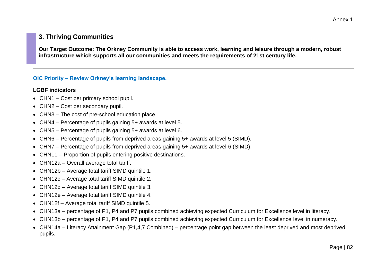## **3. Thriving Communities**

**Our Target Outcome: The Orkney Community is able to access work, learning and leisure through a modern, robust infrastructure which supports all our communities and meets the requirements of 21st century life.**

### **OIC Priority – Review Orkney's learning landscape.**

#### **LGBF indicators**

- CHN1 Cost per primary school pupil.
- CHN2 Cost per secondary pupil.
- CHN3 The cost of pre-school education place.
- CHN4 Percentage of pupils gaining 5+ awards at level 5.
- CHN5 Percentage of pupils gaining 5+ awards at level 6.
- CHN6 Percentage of pupils from deprived areas gaining 5+ awards at level 5 (SIMD).
- CHN7 Percentage of pupils from deprived areas gaining 5+ awards at level 6 (SIMD).
- CHN11 Proportion of pupils entering positive destinations.
- CHN12a Overall average total tariff.
- CHN12b Average total tariff SIMD quintile 1.
- CHN12c Average total tariff SIMD quintile 2.
- CHN12d Average total tariff SIMD quintile 3.
- CHN12e Average total tariff SIMD quintile 4.
- CHN12f Average total tariff SIMD quintile 5.
- CHN13a percentage of P1, P4 and P7 pupils combined achieving expected Curriculum for Excellence level in literacy.
- CHN13b percentage of P1, P4 and P7 pupils combined achieving expected Curriculum for Excellence level in numeracy.
- CHN14a Literacy Attainment Gap (P1,4,7 Combined) percentage point gap between the least deprived and most deprived pupils.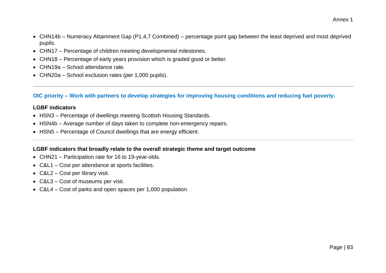- CHN14b Numeracy Attainment Gap (P1,4,7 Combined) percentage point gap between the least deprived and most deprived pupils.
- CHN17 Percentage of children meeting developmental milestones.
- CHN18 Percentage of early years provision which is graded good or better.
- CHN19a School attendance rate.
- CHN20a School exclusion rates (per 1,000 pupils).

**OIC priority – Work with partners to develop strategies for improving housing conditions and reducing fuel poverty.**

### **LGBF indicators**

- HSN3 Percentage of dwellings meeting Scottish Housing Standards.
- HSN4b Average number of days taken to complete non-emergency repairs.
- HSN5 Percentage of Council dwellings that are energy efficient.

- CHN21 Participation rate for 16 to 19-year-olds.
- C&L1 Cost per attendance at sports facilities.
- C&L2 Cost per library visit.
- C&L3 Cost of museums per visit.
- C&L4 Cost of parks and open spaces per 1,000 population.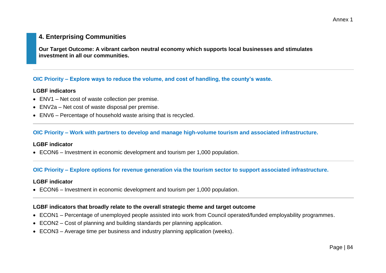## **4. Enterprising Communities**

**Our Target Outcome: A vibrant carbon neutral economy which supports local businesses and stimulates investment in all our communities.**

### **OIC Priority – Explore ways to reduce the volume, and cost of handling, the county's waste.**

#### **LGBF indicators**

- ENV1 Net cost of waste collection per premise.
- ENV2a Net cost of waste disposal per premise.
- ENV6 Percentage of household waste arising that is recycled.

#### **OIC Priority – Work with partners to develop and manage high-volume tourism and associated infrastructure.**

#### **LGBF indicator**

• ECON6 – Investment in economic development and tourism per 1,000 population.

### **OIC Priority – Explore options for revenue generation via the tourism sector to support associated infrastructure.**

#### **LGBF indicator**

• ECON6 – Investment in economic development and tourism per 1,000 population.

- ECON1 Percentage of unemployed people assisted into work from Council operated/funded employability programmes.
- ECON2 Cost of planning and building standards per planning application.
- ECON3 Average time per business and industry planning application (weeks).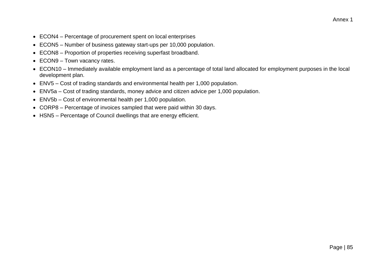- ECON4 Percentage of procurement spent on local enterprises
- ECON5 Number of business gateway start-ups per 10,000 population.
- ECON8 Proportion of properties receiving superfast broadband.
- ECON9 Town vacancy rates.
- ECON10 Immediately available employment land as a percentage of total land allocated for employment purposes in the local development plan.
- ENV5 Cost of trading standards and environmental health per 1,000 population.
- ENV5a Cost of trading standards, money advice and citizen advice per 1,000 population.
- ENV5b Cost of environmental health per 1,000 population.
- CORP8 Percentage of invoices sampled that were paid within 30 days.
- HSN5 Percentage of Council dwellings that are energy efficient.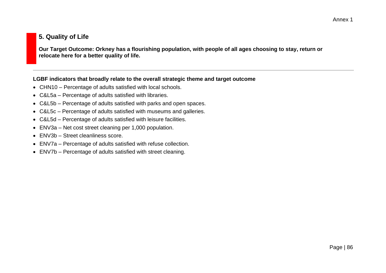## **5. Quality of Life**

**Our Target Outcome: Orkney has a flourishing population, with people of all ages choosing to stay, return or relocate here for a better quality of life.**

- CHN10 Percentage of adults satisfied with local schools.
- C&L5a Percentage of adults satisfied with libraries.
- C&L5b Percentage of adults satisfied with parks and open spaces.
- C&L5c Percentage of adults satisfied with museums and galleries.
- C&L5d Percentage of adults satisfied with leisure facilities.
- ENV3a Net cost street cleaning per 1,000 population.
- ENV3b Street cleanliness score.
- ENV7a Percentage of adults satisfied with refuse collection.
- ENV7b Percentage of adults satisfied with street cleaning.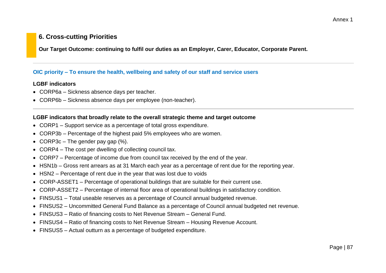## **6. Cross-cutting Priorities**

**Our Target Outcome: continuing to fulfil our duties as an Employer, Carer, Educator, Corporate Parent.**

### **OIC priority – To ensure the health, wellbeing and safety of our staff and service users**

### **LGBF indicators**

- CORP6a Sickness absence days per teacher.
- CORP6b Sickness absence days per employee (non-teacher).

- CORP1 Support service as a percentage of total gross expenditure.
- CORP3b Percentage of the highest paid 5% employees who are women.
- CORP3c The gender pay gap  $(\%)$ .
- CORP4 The cost per dwelling of collecting council tax.
- CORP7 Percentage of income due from council tax received by the end of the year.
- HSN1b Gross rent arrears as at 31 March each year as a percentage of rent due for the reporting year.
- HSN2 Percentage of rent due in the year that was lost due to voids
- CORP-ASSET1 Percentage of operational buildings that are suitable for their current use.
- CORP-ASSET2 Percentage of internal floor area of operational buildings in satisfactory condition.
- FINSUS1 Total useable reserves as a percentage of Council annual budgeted revenue.
- FINSUS2 Uncommitted General Fund Balance as a percentage of Council annual budgeted net revenue.
- FINSUS3 Ratio of financing costs to Net Revenue Stream General Fund.
- FINSUS4 Ratio of financing costs to Net Revenue Stream Housing Revenue Account.
- FINSUS5 Actual outturn as a percentage of budgeted expenditure.